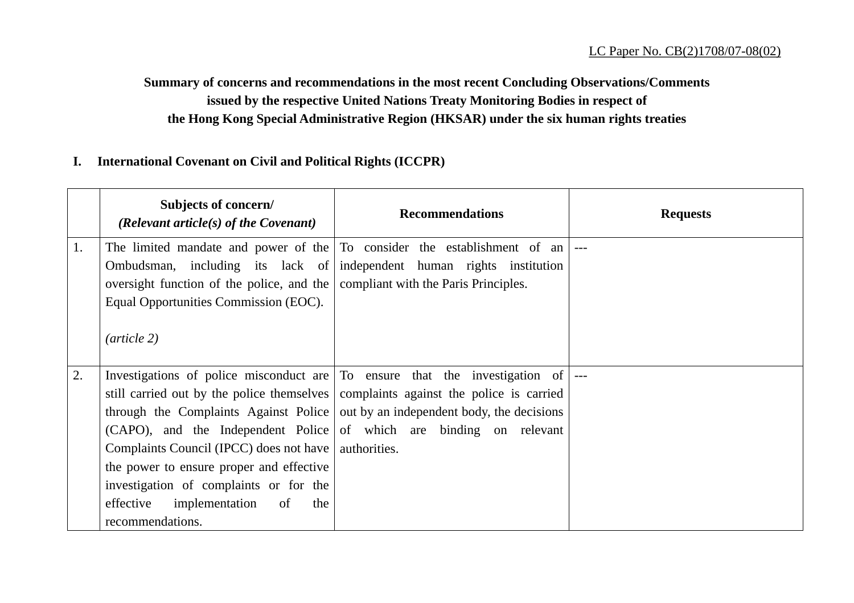### **Summary of concerns and recommendations in the most recent Concluding Observations/Comments issued by the respective United Nations Treaty Monitoring Bodies in respect of the Hong Kong Special Administrative Region (HKSAR) under the six human rights treaties**

### **I. International Covenant on Civil and Political Rights (ICCPR)**

|    | Subjects of concern/<br>(Relevant article(s) of the Covenant) | <b>Recommendations</b>                                                                          | <b>Requests</b> |
|----|---------------------------------------------------------------|-------------------------------------------------------------------------------------------------|-----------------|
| 1. |                                                               | The limited mandate and power of the To consider the establishment of an                        |                 |
|    |                                                               | Ombudsman, including its lack of independent human rights institution                           |                 |
|    | oversight function of the police, and the                     | compliant with the Paris Principles.                                                            |                 |
|    | Equal Opportunities Commission (EOC).                         |                                                                                                 |                 |
|    | $(\textit{article } 2)$                                       |                                                                                                 |                 |
| 2. |                                                               | Investigations of police misconduct are $\vert$ To ensure that the investigation of $\vert$ --- |                 |
|    |                                                               | still carried out by the police themselves   complaints against the police is carried           |                 |
|    | through the Complaints Against Police                         | out by an independent body, the decisions                                                       |                 |
|    |                                                               | (CAPO), and the Independent Police of which are binding on relevant                             |                 |
|    | Complaints Council (IPCC) does not have                       | authorities.                                                                                    |                 |
|    | the power to ensure proper and effective                      |                                                                                                 |                 |
|    | investigation of complaints or for the                        |                                                                                                 |                 |
|    | effective<br>implementation<br>of<br>the                      |                                                                                                 |                 |
|    | recommendations.                                              |                                                                                                 |                 |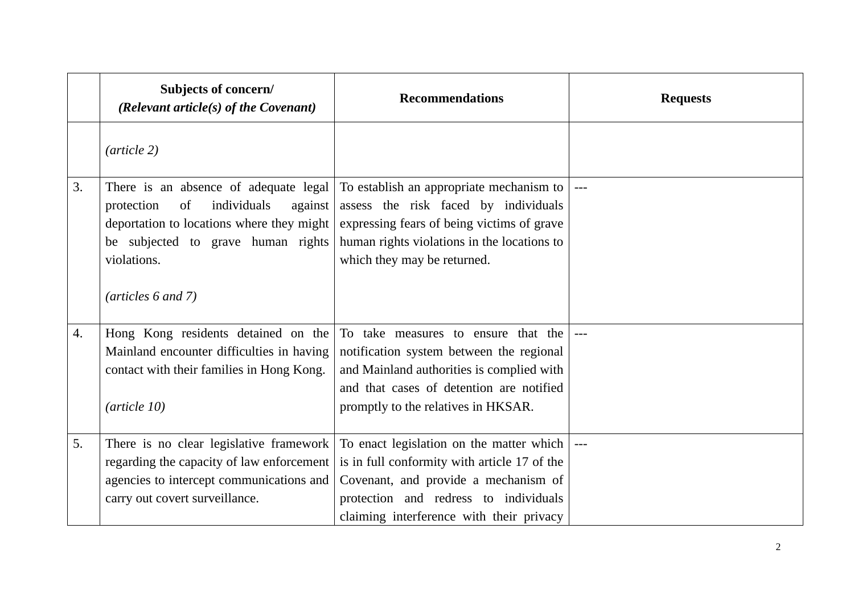|    | Subjects of concern/<br>(Relevant article(s) of the Covenant)                                                                                                      | <b>Recommendations</b>                                                                                                                                                                                                                             | <b>Requests</b> |
|----|--------------------------------------------------------------------------------------------------------------------------------------------------------------------|----------------------------------------------------------------------------------------------------------------------------------------------------------------------------------------------------------------------------------------------------|-----------------|
|    | $(\textit{article } 2)$                                                                                                                                            |                                                                                                                                                                                                                                                    |                 |
| 3. | individuals<br>protection<br>of<br>against<br>deportation to locations where they might<br>be subjected to grave human rights<br>violations.                       | There is an absence of adequate legal To establish an appropriate mechanism to<br>assess the risk faced by individuals<br>expressing fears of being victims of grave<br>human rights violations in the locations to<br>which they may be returned. |                 |
|    | $(\text{articles } 6 \text{ and } 7)$                                                                                                                              |                                                                                                                                                                                                                                                    |                 |
| 4. | Hong Kong residents detained on the<br>Mainland encounter difficulties in having<br>contact with their families in Hong Kong.<br>$(\text{article } 10)$            | To take measures to ensure that the<br>notification system between the regional<br>and Mainland authorities is complied with<br>and that cases of detention are notified<br>promptly to the relatives in HKSAR.                                    |                 |
| 5. | There is no clear legislative framework<br>regarding the capacity of law enforcement<br>agencies to intercept communications and<br>carry out covert surveillance. | To enact legislation on the matter which  <br>is in full conformity with article 17 of the<br>Covenant, and provide a mechanism of<br>protection and redress to individuals<br>claiming interference with their privacy                            |                 |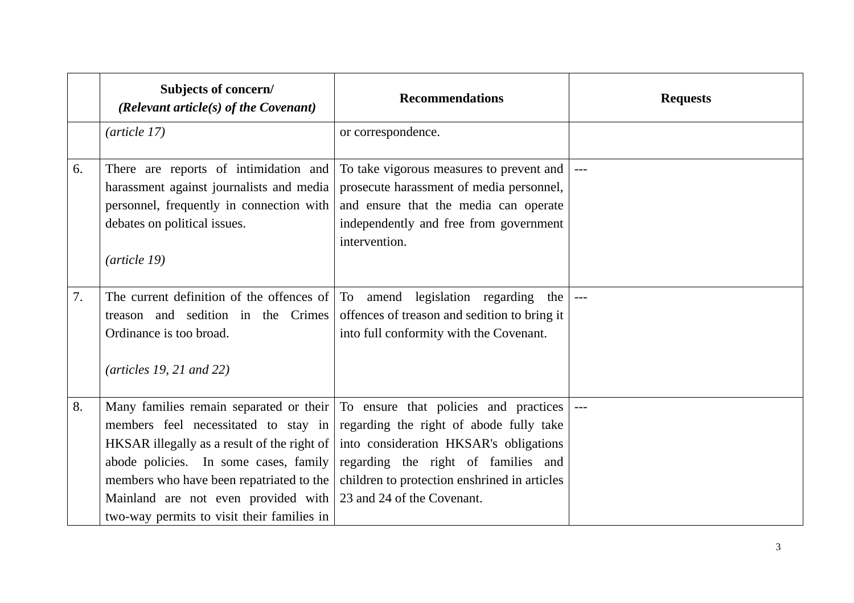|    | Subjects of concern/<br>(Relevant article(s) of the Covenant)                                                                                                                                                                                                 | <b>Recommendations</b>                                                                                                                                                                                                                                                                  | <b>Requests</b> |
|----|---------------------------------------------------------------------------------------------------------------------------------------------------------------------------------------------------------------------------------------------------------------|-----------------------------------------------------------------------------------------------------------------------------------------------------------------------------------------------------------------------------------------------------------------------------------------|-----------------|
|    | (article 17)                                                                                                                                                                                                                                                  | or correspondence.                                                                                                                                                                                                                                                                      |                 |
| 6. | There are reports of intimidation and<br>harassment against journalists and media<br>personnel, frequently in connection with<br>debates on political issues.<br>(article 19)                                                                                 | To take vigorous measures to prevent and<br>prosecute harassment of media personnel,<br>and ensure that the media can operate<br>independently and free from government<br>intervention.                                                                                                |                 |
| 7. | The current definition of the offences of<br>treason and sedition in the Crimes<br>Ordinance is too broad.<br>$(\text{articles } 19, 21 \text{ and } 22)$                                                                                                     | To amend legislation regarding the<br>offences of treason and sedition to bring it<br>into full conformity with the Covenant.                                                                                                                                                           |                 |
| 8. | members feel necessitated to stay in<br>HKSAR illegally as a result of the right of<br>abode policies. In some cases, family<br>members who have been repatriated to the<br>Mainland are not even provided with<br>two-way permits to visit their families in | Many families remain separated or their To ensure that policies and practices<br>regarding the right of abode fully take<br>into consideration HKSAR's obligations<br>regarding the right of families and<br>children to protection enshrined in articles<br>23 and 24 of the Covenant. |                 |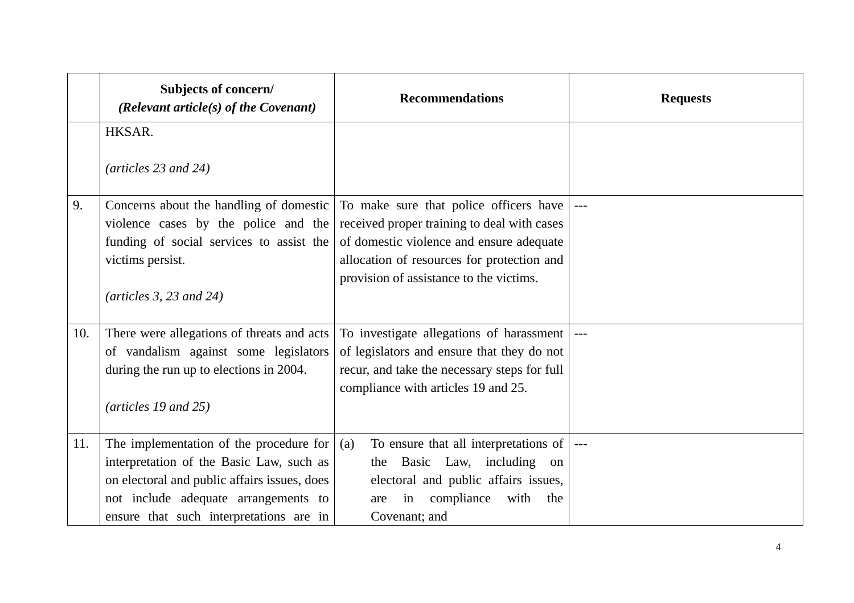|     | Subjects of concern/<br>(Relevant article(s) of the Covenant) | <b>Recommendations</b>                       | <b>Requests</b> |
|-----|---------------------------------------------------------------|----------------------------------------------|-----------------|
|     | HKSAR.                                                        |                                              |                 |
|     | $(\text{articles } 23 \text{ and } 24)$                       |                                              |                 |
| 9.  | Concerns about the handling of domestic                       | To make sure that police officers have       | $  -$           |
|     | violence cases by the police and the                          | received proper training to deal with cases  |                 |
|     | funding of social services to assist the                      | of domestic violence and ensure adequate     |                 |
|     | victims persist.                                              | allocation of resources for protection and   |                 |
|     | (articles $3, 23$ and $24$ )                                  | provision of assistance to the victims.      |                 |
| 10. | There were allegations of threats and acts                    | To investigate allegations of harassment     |                 |
|     | of vandalism against some legislators                         | of legislators and ensure that they do not   |                 |
|     | during the run up to elections in 2004.                       | recur, and take the necessary steps for full |                 |
|     |                                                               | compliance with articles 19 and 25.          |                 |
|     | $(\text{articles } 19 \text{ and } 25)$                       |                                              |                 |
| 11. | The implementation of the procedure for                       | To ensure that all interpretations of<br>(a) |                 |
|     | interpretation of the Basic Law, such as                      | the Basic Law, including on                  |                 |
|     | on electoral and public affairs issues, does                  | electoral and public affairs issues,         |                 |
|     | not include adequate arrangements to                          | in compliance<br>with<br>the<br>are          |                 |
|     | ensure that such interpretations are in                       | Covenant; and                                |                 |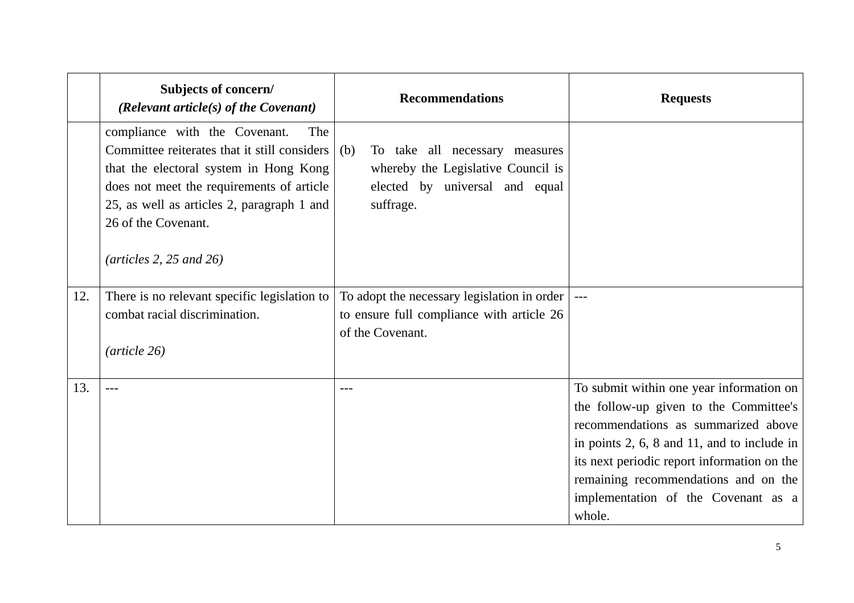|     | Subjects of concern/<br>(Relevant article $(s)$ of the Covenant)                                                                                                                                                                                                                                  | <b>Recommendations</b>                                                                                                     | <b>Requests</b>                                                                                                                                                                                                                                                                                                       |
|-----|---------------------------------------------------------------------------------------------------------------------------------------------------------------------------------------------------------------------------------------------------------------------------------------------------|----------------------------------------------------------------------------------------------------------------------------|-----------------------------------------------------------------------------------------------------------------------------------------------------------------------------------------------------------------------------------------------------------------------------------------------------------------------|
|     | compliance with the Covenant.<br>The<br>Committee reiterates that it still considers<br>that the electoral system in Hong Kong<br>does not meet the requirements of article<br>25, as well as articles 2, paragraph 1 and<br>26 of the Covenant.<br>$(\textit{articles 2}, 25 \textit{ and } 26)$ | (b)<br>To take all necessary measures<br>whereby the Legislative Council is<br>elected by universal and equal<br>suffrage. |                                                                                                                                                                                                                                                                                                                       |
| 12. | There is no relevant specific legislation to<br>combat racial discrimination.<br>$(\text{article } 26)$                                                                                                                                                                                           | To adopt the necessary legislation in order  <br>to ensure full compliance with article 26<br>of the Covenant.             |                                                                                                                                                                                                                                                                                                                       |
| 13. | $---$                                                                                                                                                                                                                                                                                             | $---$                                                                                                                      | To submit within one year information on<br>the follow-up given to the Committee's<br>recommendations as summarized above<br>in points $2, 6, 8$ and $11$ , and to include in<br>its next periodic report information on the<br>remaining recommendations and on the<br>implementation of the Covenant as a<br>whole. |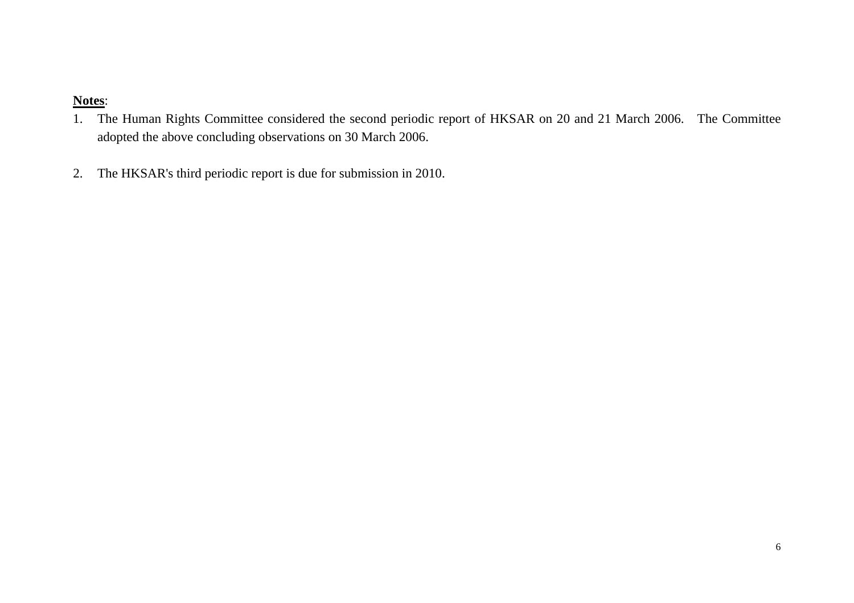- 1. The Human Rights Committee considered the second periodic report of HKSAR on 20 and 21 March 2006. The Committee adopted the above concluding observations on 30 March 2006.
- 2.The HKSAR's third periodic report is due for submission in 2010.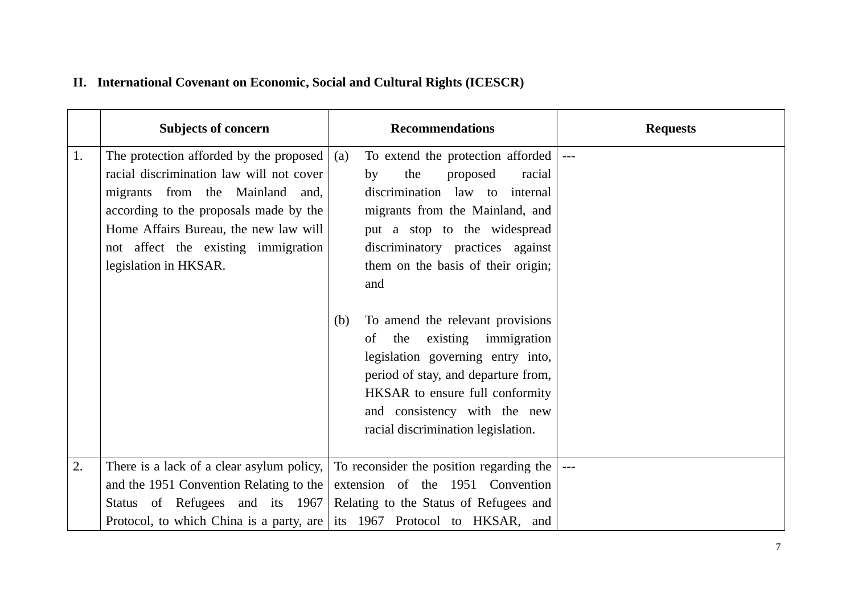|    | <b>Subjects of concern</b>                                                                                                                                                                                                                                                               | <b>Recommendations</b>                                                                                                                                                                                                                                                                                                                                                                                                                                                                                                               | <b>Requests</b> |
|----|------------------------------------------------------------------------------------------------------------------------------------------------------------------------------------------------------------------------------------------------------------------------------------------|--------------------------------------------------------------------------------------------------------------------------------------------------------------------------------------------------------------------------------------------------------------------------------------------------------------------------------------------------------------------------------------------------------------------------------------------------------------------------------------------------------------------------------------|-----------------|
| 1. | The protection afforded by the proposed $\vert$ (a)<br>racial discrimination law will not cover<br>migrants from the Mainland<br>and,<br>according to the proposals made by the<br>Home Affairs Bureau, the new law will<br>not affect the existing immigration<br>legislation in HKSAR. | To extend the protection afforded  ---<br>the<br>proposed<br>by<br>racial<br>discrimination law to internal<br>migrants from the Mainland, and<br>put a stop to the widespread<br>discriminatory practices against<br>them on the basis of their origin;<br>and<br>To amend the relevant provisions<br>(b)<br>the<br>existing immigration<br>of<br>legislation governing entry into,<br>period of stay, and departure from,<br>HKSAR to ensure full conformity<br>and consistency with the new<br>racial discrimination legislation. |                 |
| 2. | There is a lack of a clear asylum policy,<br>and the 1951 Convention Relating to the<br>Status of Refugees and its 1967                                                                                                                                                                  | To reconsider the position regarding the<br>extension of the 1951 Convention<br>Relating to the Status of Refugees and<br>Protocol, to which China is a party, are its 1967 Protocol to HKSAR, and                                                                                                                                                                                                                                                                                                                                   |                 |

# **II. International Covenant on Economic, Social and Cultural Rights (ICESCR)**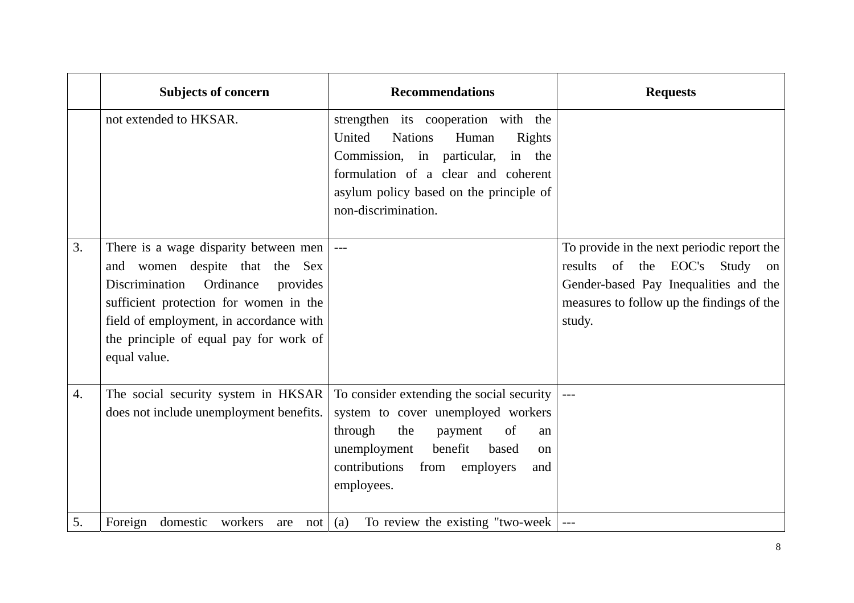|    | <b>Subjects of concern</b>                                                                                                                                                                                                                                       | <b>Recommendations</b>                                                                                                                                                                                                              | <b>Requests</b>                                                                                                                                                             |
|----|------------------------------------------------------------------------------------------------------------------------------------------------------------------------------------------------------------------------------------------------------------------|-------------------------------------------------------------------------------------------------------------------------------------------------------------------------------------------------------------------------------------|-----------------------------------------------------------------------------------------------------------------------------------------------------------------------------|
|    | not extended to HKSAR.                                                                                                                                                                                                                                           | strengthen its cooperation with the<br>United<br><b>Nations</b><br>Human<br>Rights<br>Commission, in particular,<br>in the<br>formulation of a clear and coherent<br>asylum policy based on the principle of<br>non-discrimination. |                                                                                                                                                                             |
| 3. | There is a wage disparity between men  <br>and women despite that the Sex<br>Discrimination Ordinance<br>provides<br>sufficient protection for women in the<br>field of employment, in accordance with<br>the principle of equal pay for work of<br>equal value. | $\perp$ $\perp$ $\perp$                                                                                                                                                                                                             | To provide in the next periodic report the<br>results of the EOC's Study on<br>Gender-based Pay Inequalities and the<br>measures to follow up the findings of the<br>study. |
| 4. | The social security system in HKSAR<br>does not include unemployment benefits.                                                                                                                                                                                   | To consider extending the social security<br>system to cover unemployed workers<br>through<br>of<br>the<br>payment<br>an<br>unemployment<br>benefit<br>based<br>on<br>contributions<br>from<br>employers<br>and<br>employees.       | $---$                                                                                                                                                                       |
| 5. | Foreign<br>domestic workers<br>not<br>are                                                                                                                                                                                                                        | (a)<br>To review the existing "two-week                                                                                                                                                                                             |                                                                                                                                                                             |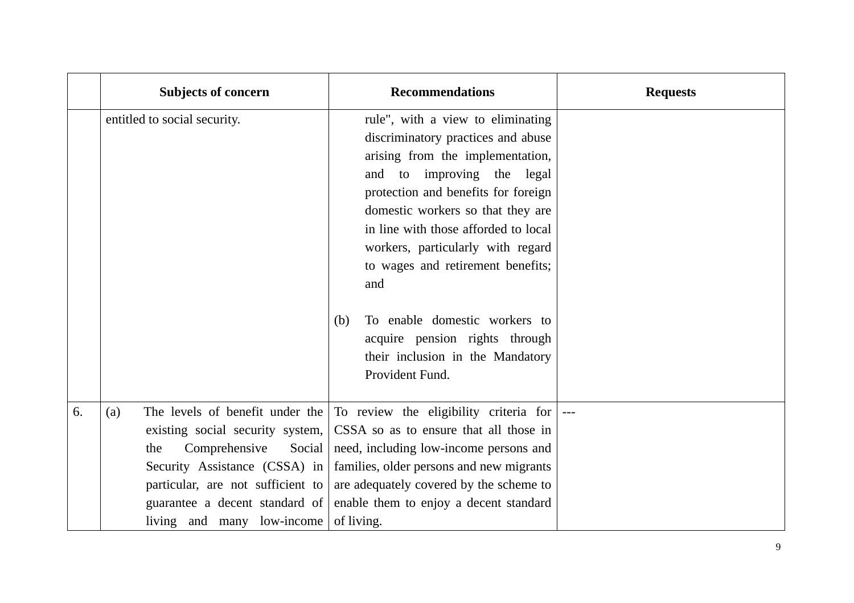|    | <b>Subjects of concern</b>                                                                                                                                                                                                                         | <b>Recommendations</b>                                                                                                                                                                                                                                                                                                                  | <b>Requests</b> |
|----|----------------------------------------------------------------------------------------------------------------------------------------------------------------------------------------------------------------------------------------------------|-----------------------------------------------------------------------------------------------------------------------------------------------------------------------------------------------------------------------------------------------------------------------------------------------------------------------------------------|-----------------|
|    |                                                                                                                                                                                                                                                    |                                                                                                                                                                                                                                                                                                                                         |                 |
|    | entitled to social security.                                                                                                                                                                                                                       | rule", with a view to eliminating<br>discriminatory practices and abuse<br>arising from the implementation,<br>and to improving the legal<br>protection and benefits for foreign<br>domestic workers so that they are<br>in line with those afforded to local<br>workers, particularly with regard<br>to wages and retirement benefits; |                 |
|    |                                                                                                                                                                                                                                                    | and<br>To enable domestic workers to<br>(b)<br>acquire pension rights through<br>their inclusion in the Mandatory<br>Provident Fund.                                                                                                                                                                                                    |                 |
| 6. | The levels of benefit under the<br>(a)<br>existing social security system,<br>Comprehensive<br>Social<br>the<br>Security Assistance (CSSA) in<br>particular, are not sufficient to<br>guarantee a decent standard of<br>living and many low-income | To review the eligibility criteria for<br>CSSA so as to ensure that all those in<br>need, including low-income persons and<br>families, older persons and new migrants<br>are adequately covered by the scheme to<br>enable them to enjoy a decent standard<br>of living.                                                               |                 |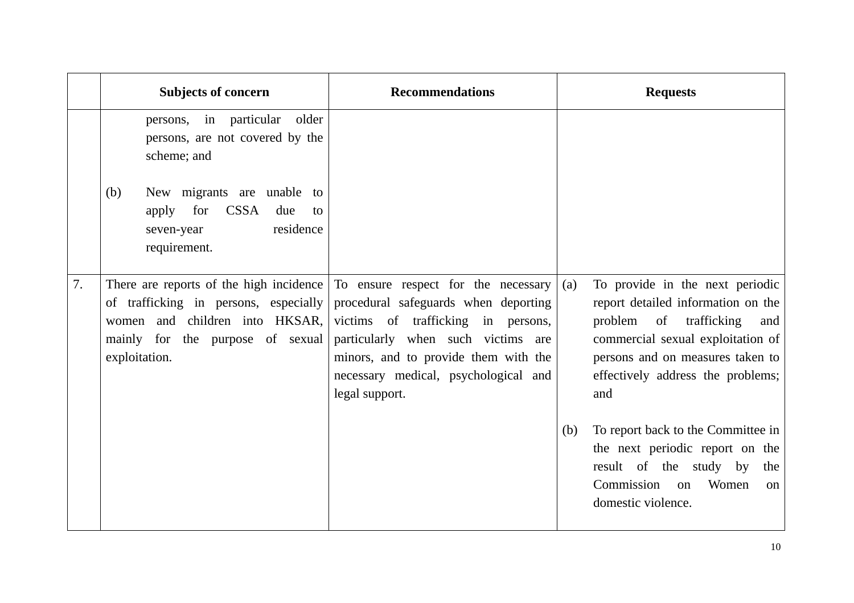|    | <b>Subjects of concern</b>                                                                                                                                              | <b>Recommendations</b>                                                                                                                                                                                                                                    | <b>Requests</b>                                                                                                                                                                                                                    |
|----|-------------------------------------------------------------------------------------------------------------------------------------------------------------------------|-----------------------------------------------------------------------------------------------------------------------------------------------------------------------------------------------------------------------------------------------------------|------------------------------------------------------------------------------------------------------------------------------------------------------------------------------------------------------------------------------------|
|    | persons, in particular<br>older<br>persons, are not covered by the<br>scheme; and                                                                                       |                                                                                                                                                                                                                                                           |                                                                                                                                                                                                                                    |
|    | New migrants are unable to<br>(b)<br><b>CSSA</b><br>for<br>apply<br>due<br>to<br>residence<br>seven-year<br>requirement.                                                |                                                                                                                                                                                                                                                           |                                                                                                                                                                                                                                    |
| 7. | There are reports of the high incidence<br>of trafficking in persons, especially<br>women and children into HKSAR,<br>mainly for the purpose of sexual<br>exploitation. | To ensure respect for the necessary<br>procedural safeguards when deporting<br>victims of trafficking in persons,<br>particularly when such victims are<br>minors, and to provide them with the<br>necessary medical, psychological and<br>legal support. | To provide in the next periodic<br>(a)<br>report detailed information on the<br>problem of trafficking<br>and<br>commercial sexual exploitation of<br>persons and on measures taken to<br>effectively address the problems;<br>and |
|    |                                                                                                                                                                         |                                                                                                                                                                                                                                                           | To report back to the Committee in<br>(b)<br>the next periodic report on the<br>result of the study by<br>the<br>Commission<br>Women<br><sub>on</sub><br>$\alpha$<br>domestic violence.                                            |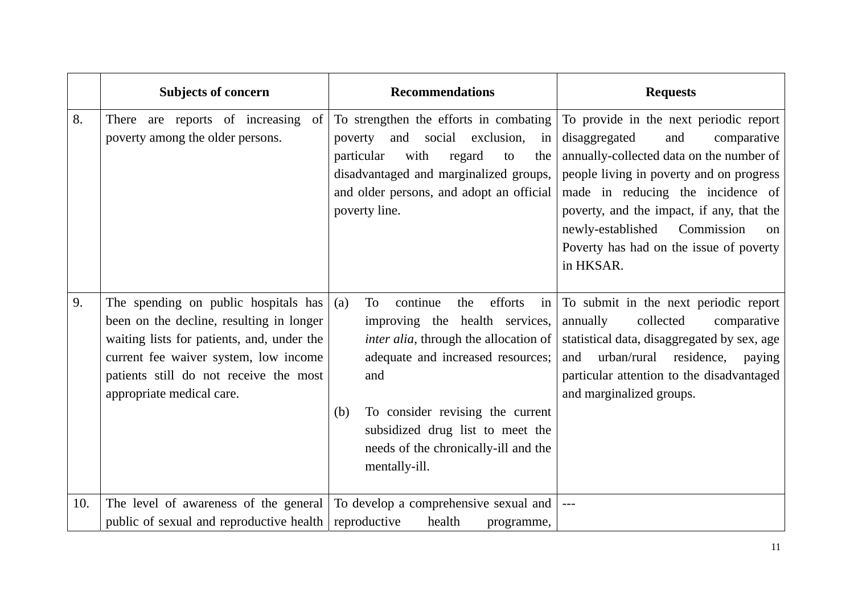|     | <b>Subjects of concern</b>                                                                                                                                                                                                                     | <b>Recommendations</b>                                                                                                                                                                                                                                                                                               | <b>Requests</b>                                                                                                                                                                                                                                                                                                                                                |
|-----|------------------------------------------------------------------------------------------------------------------------------------------------------------------------------------------------------------------------------------------------|----------------------------------------------------------------------------------------------------------------------------------------------------------------------------------------------------------------------------------------------------------------------------------------------------------------------|----------------------------------------------------------------------------------------------------------------------------------------------------------------------------------------------------------------------------------------------------------------------------------------------------------------------------------------------------------------|
| 8.  | There are reports of increasing of<br>poverty among the older persons.                                                                                                                                                                         | To strengthen the efforts in combating<br>social<br>exclusion,<br>and<br>poverty<br>in<br>particular<br>with<br>regard<br>the<br>to<br>disadvantaged and marginalized groups,<br>and older persons, and adopt an official<br>poverty line.                                                                           | To provide in the next periodic report<br>disaggregated<br>and<br>comparative<br>annually-collected data on the number of<br>people living in poverty and on progress<br>made in reducing the incidence of<br>poverty, and the impact, if any, that the<br>newly-established<br>Commission<br>$\alpha$<br>Poverty has had on the issue of poverty<br>in HKSAR. |
| 9.  | The spending on public hospitals has<br>been on the decline, resulting in longer<br>waiting lists for patients, and, under the<br>current fee waiver system, low income<br>patients still do not receive the most<br>appropriate medical care. | continue<br>efforts<br>To<br>the<br>(a)<br>in<br>improving the health services,<br><i>inter alia</i> , through the allocation of<br>adequate and increased resources;<br>and<br>To consider revising the current<br>(b)<br>subsidized drug list to meet the<br>needs of the chronically-ill and the<br>mentally-ill. | To submit in the next periodic report<br>annually<br>collected<br>comparative<br>statistical data, disaggregated by sex, age<br>urban/rural residence,<br>and<br>paying<br>particular attention to the disadvantaged<br>and marginalized groups.                                                                                                               |
| 10. | public of sexual and reproductive health reproductive                                                                                                                                                                                          | The level of awareness of the general To develop a comprehensive sexual and<br>health<br>programme,                                                                                                                                                                                                                  | $\hspace{0.05cm} -\hspace{0.05cm} -\hspace{0.05cm} -\hspace{0.05cm}$                                                                                                                                                                                                                                                                                           |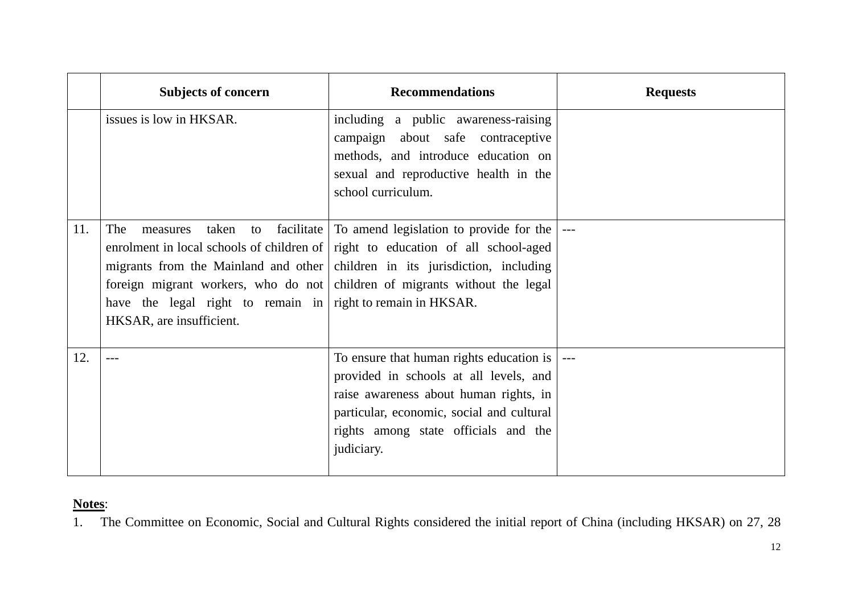|     | <b>Subjects of concern</b>                                                                                          | <b>Recommendations</b>                                                                                                                                                                                                                                                                                 | <b>Requests</b> |
|-----|---------------------------------------------------------------------------------------------------------------------|--------------------------------------------------------------------------------------------------------------------------------------------------------------------------------------------------------------------------------------------------------------------------------------------------------|-----------------|
|     | issues is low in HKSAR.                                                                                             | including a public awareness-raising<br>campaign about safe contraceptive<br>methods, and introduce education on<br>sexual and reproductive health in the<br>school curriculum.                                                                                                                        |                 |
| 11. | The<br>taken<br>measures<br>have the legal right to remain in right to remain in HKSAR.<br>HKSAR, are insufficient. | to facilitate To amend legislation to provide for the<br>enrolment in local schools of children of right to education of all school-aged<br>migrants from the Mainland and other children in its jurisdiction, including<br>foreign migrant workers, who do not children of migrants without the legal |                 |
| 12. |                                                                                                                     | To ensure that human rights education is $\vert$<br>provided in schools at all levels, and<br>raise awareness about human rights, in<br>particular, economic, social and cultural<br>rights among state officials and the<br>judiciary.                                                                |                 |

1.The Committee on Economic, Social and Cultural Rights considered the initial report of China (including HKSAR) on 27, 28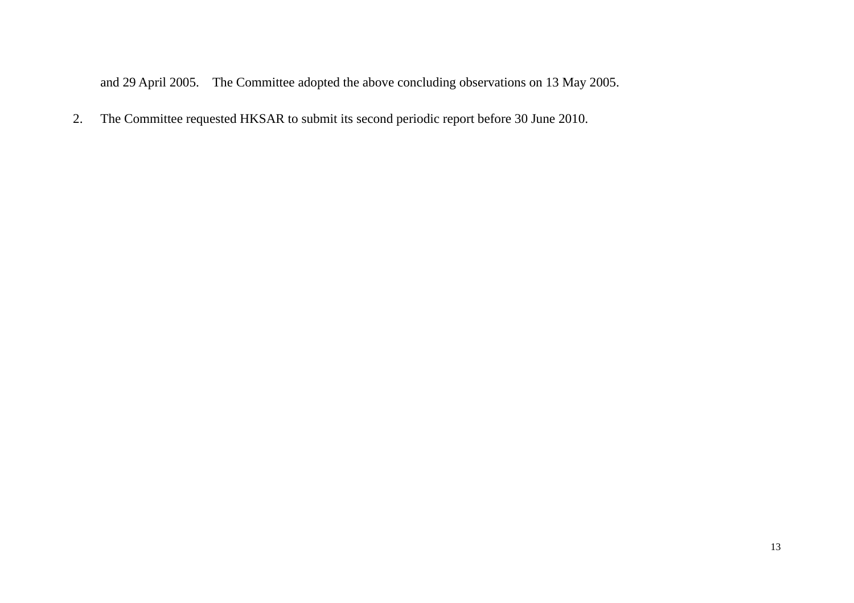and 29 April 2005. The Committee adopted the above concluding observations on 13 May 2005.

2.The Committee requested HKSAR to submit its second periodic report before 30 June 2010.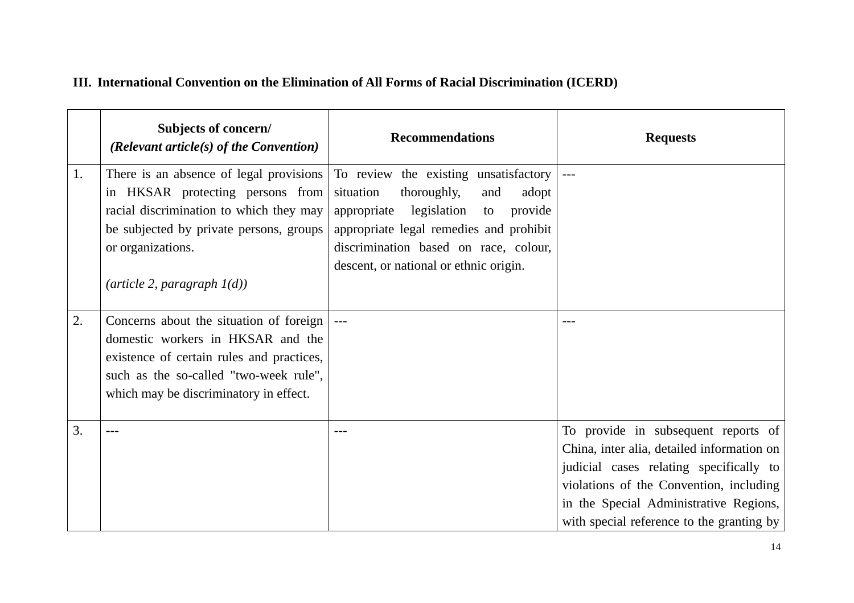### **III. International Convention on the Elimination of All Forms of Racial Discrimination (ICERD)**

|    | Subjects of concern/<br>(Relevant article(s) of the Convention)                                                                                                                                               | <b>Recommendations</b>                                                                                                                                                                                                                                         | <b>Requests</b>                                                                                                                                                                                                                                                |
|----|---------------------------------------------------------------------------------------------------------------------------------------------------------------------------------------------------------------|----------------------------------------------------------------------------------------------------------------------------------------------------------------------------------------------------------------------------------------------------------------|----------------------------------------------------------------------------------------------------------------------------------------------------------------------------------------------------------------------------------------------------------------|
| 1. | There is an absence of legal provisions<br>in HKSAR protecting persons from<br>racial discrimination to which they may<br>be subjected by private persons, groups<br>or organizations.                        | To review the existing unsatisfactory<br>situation<br>thoroughly,<br>and<br>adopt<br>appropriate<br>legislation<br>provide<br>to<br>appropriate legal remedies and prohibit<br>discrimination based on race, colour,<br>descent, or national or ethnic origin. |                                                                                                                                                                                                                                                                |
|    | $(\textit{article 2}, \textit{paragraph 1}(d))$                                                                                                                                                               |                                                                                                                                                                                                                                                                |                                                                                                                                                                                                                                                                |
| 2. | Concerns about the situation of foreign<br>domestic workers in HKSAR and the<br>existence of certain rules and practices,<br>such as the so-called "two-week rule",<br>which may be discriminatory in effect. |                                                                                                                                                                                                                                                                |                                                                                                                                                                                                                                                                |
| 3. |                                                                                                                                                                                                               |                                                                                                                                                                                                                                                                | To provide in subsequent reports of<br>China, inter alia, detailed information on<br>judicial cases relating specifically to<br>violations of the Convention, including<br>in the Special Administrative Regions,<br>with special reference to the granting by |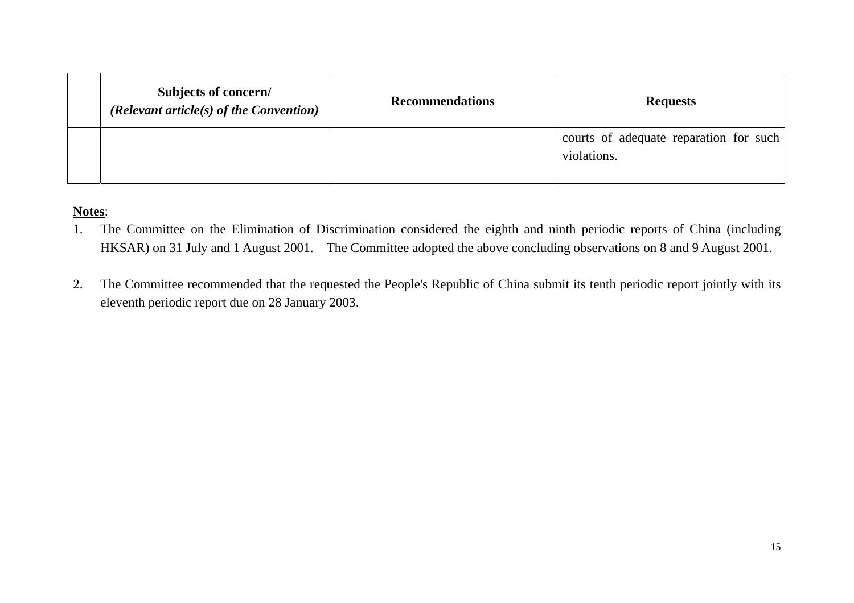| Subjects of concern/<br>(Relevant article(s) of the Convention) | <b>Recommendations</b> | <b>Requests</b>                                       |
|-----------------------------------------------------------------|------------------------|-------------------------------------------------------|
|                                                                 |                        | courts of adequate reparation for such<br>violations. |

- 1. The Committee on the Elimination of Discrimination considered the eighth and ninth periodic reports of China (including HKSAR) on 31 July and 1 August 2001. The Committee adopted the above concluding observations on 8 and 9 August 2001.
- 2. The Committee recommended that the requested the People's Republic of China submit its tenth periodic report jointly with its eleventh periodic report due on 28 January 2003.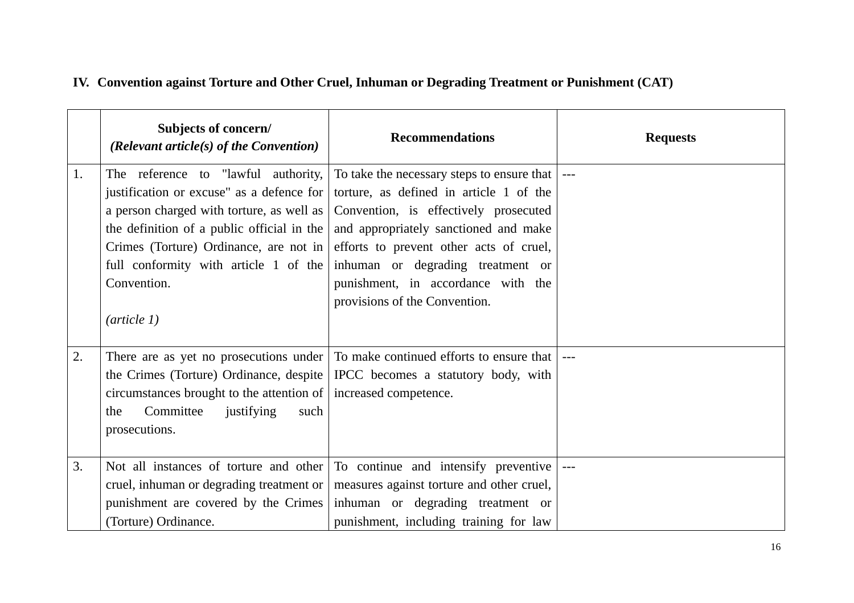|    | Subjects of concern/<br>(Relevant article(s) of the Convention)   | <b>Recommendations</b>                                                                   | <b>Requests</b> |
|----|-------------------------------------------------------------------|------------------------------------------------------------------------------------------|-----------------|
| 1. |                                                                   | The reference to "lawful authority, To take the necessary steps to ensure that           |                 |
|    |                                                                   | justification or excuse" as a defence for   torture, as defined in article 1 of the      |                 |
|    |                                                                   | a person charged with torture, as well as   Convention, is effectively prosecuted        |                 |
|    |                                                                   | the definition of a public official in the $\vert$ and appropriately sanctioned and make |                 |
|    |                                                                   | Crimes (Torture) Ordinance, are not in efforts to prevent other acts of cruel,           |                 |
|    |                                                                   | full conformity with article 1 of the inhuman or degrading treatment or                  |                 |
|    | Convention.                                                       | punishment, in accordance with the                                                       |                 |
|    |                                                                   | provisions of the Convention.                                                            |                 |
|    | $(\textit{article 1})$                                            |                                                                                          |                 |
|    |                                                                   |                                                                                          |                 |
| 2. |                                                                   | There are as yet no prosecutions under To make continued efforts to ensure that          |                 |
|    |                                                                   | the Crimes (Torture) Ordinance, despite   IPCC becomes a statutory body, with            |                 |
|    | circumstances brought to the attention of   increased competence. |                                                                                          |                 |
|    | Committee<br>justifying<br>such<br>the                            |                                                                                          |                 |
|    | prosecutions.                                                     |                                                                                          |                 |
|    |                                                                   |                                                                                          |                 |
| 3. |                                                                   | Not all instances of torture and other To continue and intensify preventive              |                 |
|    |                                                                   | cruel, inhuman or degrading treatment or   measures against torture and other cruel,     |                 |
|    |                                                                   | punishment are covered by the Crimes inhuman or degrading treatment or                   |                 |
|    | (Torture) Ordinance.                                              | punishment, including training for law                                                   |                 |

# **IV. Convention against Torture and Other Cruel, Inhuman or Degrading Treatment or Punishment (CAT)**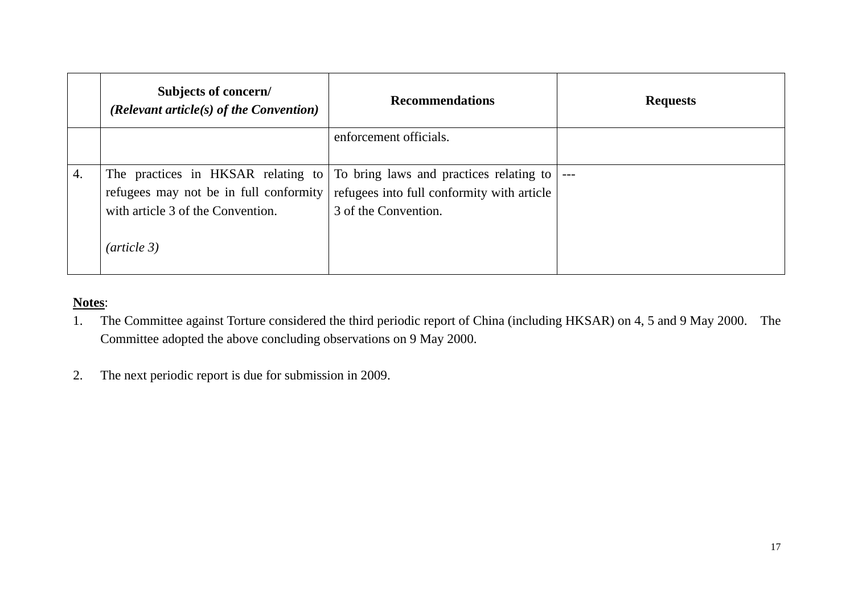|    | Subjects of concern/<br>(Relevant article(s) of the Convention)                                                                  | <b>Recommendations</b>                                                                                        | <b>Requests</b> |
|----|----------------------------------------------------------------------------------------------------------------------------------|---------------------------------------------------------------------------------------------------------------|-----------------|
|    |                                                                                                                                  | enforcement officials.                                                                                        |                 |
| 4. | The practices in HKSAR relating to<br>refugees may not be in full conformity<br>with article 3 of the Convention.<br>(article 3) | To bring laws and practices relating to<br>refugees into full conformity with article<br>3 of the Convention. | $---$           |

- 1. The Committee against Torture considered the third periodic report of China (including HKSAR) on 4, 5 and 9 May 2000. The Committee adopted the above concluding observations on 9 May 2000.
- 2.The next periodic report is due for submission in 2009.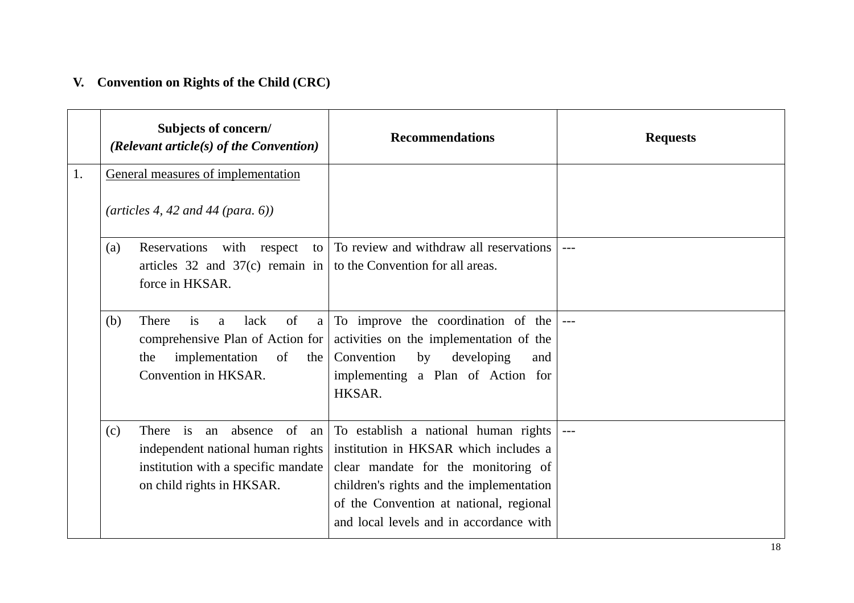# **V. Convention on Rights of the Child (CRC)**

|    |     | Subjects of concern/<br>(Relevant article(s) of the Convention)                                                                                      | <b>Recommendations</b>                                                                                                                                                                                                                                 | <b>Requests</b>     |
|----|-----|------------------------------------------------------------------------------------------------------------------------------------------------------|--------------------------------------------------------------------------------------------------------------------------------------------------------------------------------------------------------------------------------------------------------|---------------------|
| 1. |     | General measures of implementation<br>$(\text{articles } 4, 42 \text{ and } 44 \text{ (para. 6)})$                                                   |                                                                                                                                                                                                                                                        |                     |
|    | (a) | Reservations<br>with respect to<br>articles $32$ and $37(c)$ remain in<br>force in HKSAR.                                                            | To review and withdraw all reservations<br>to the Convention for all areas.                                                                                                                                                                            | $---$               |
|    | (b) | of<br>is<br>lack<br>There<br>a<br>a<br>comprehensive Plan of Action for<br>implementation<br>of<br>the<br>the<br>Convention in HKSAR.                | To improve the coordination of the<br>activities on the implementation of the<br>Convention<br>by<br>developing<br>and<br>implementing a Plan of Action for<br>HKSAR.                                                                                  |                     |
|    | (c) | $\mathbf{i}$ s<br>an absence of an<br>There<br>independent national human rights<br>institution with a specific mandate<br>on child rights in HKSAR. | To establish a national human rights<br>institution in HKSAR which includes a<br>clear mandate for the monitoring of<br>children's rights and the implementation<br>of the Convention at national, regional<br>and local levels and in accordance with | $\qquad \qquad - -$ |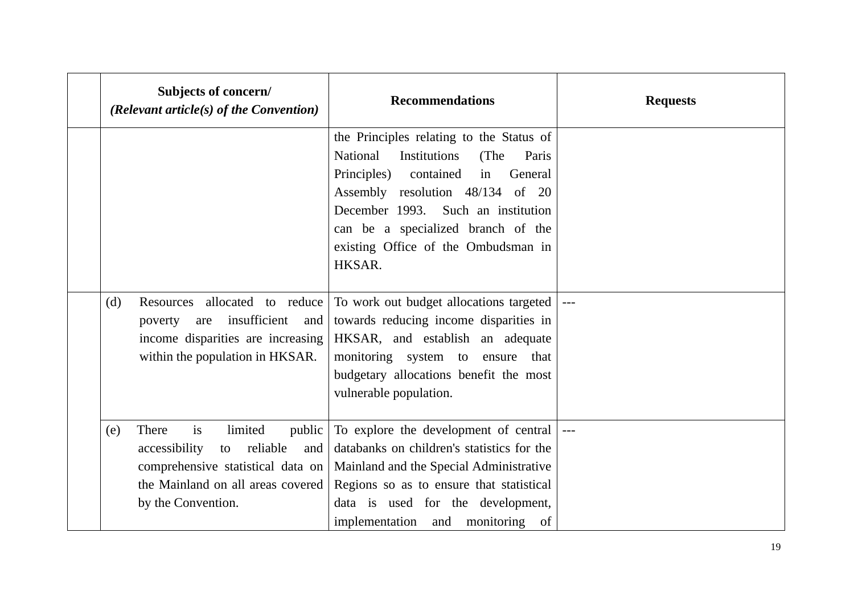| Subjects of concern/<br>(Relevant article(s) of the Convention)                                                                           |                                      | <b>Recommendations</b>                                                                                                                                                                                                                                                                              | <b>Requests</b> |
|-------------------------------------------------------------------------------------------------------------------------------------------|--------------------------------------|-----------------------------------------------------------------------------------------------------------------------------------------------------------------------------------------------------------------------------------------------------------------------------------------------------|-----------------|
|                                                                                                                                           |                                      | the Principles relating to the Status of<br>National<br>Institutions<br>(The<br>Paris<br>contained<br>Principles)<br>in<br>General<br>Assembly resolution 48/134 of 20<br>December 1993. Such an institution<br>can be a specialized branch of the<br>existing Office of the Ombudsman in<br>HKSAR. |                 |
| Resources allocated to reduce<br>(d)<br>poverty<br>are<br>income disparities are increasing<br>within the population in HKSAR.            | insufficient<br>and                  | To work out budget allocations targeted<br>towards reducing income disparities in<br>HKSAR, and establish an adequate<br>monitoring system to ensure that<br>budgetary allocations benefit the most<br>vulnerable population.                                                                       |                 |
| There<br>is<br>(e)<br>accessibility<br>to<br>comprehensive statistical data on<br>the Mainland on all areas covered<br>by the Convention. | limited<br>public<br>reliable<br>and | To explore the development of central  ---<br>databanks on children's statistics for the<br>Mainland and the Special Administrative<br>Regions so as to ensure that statistical<br>data is used for the development,<br>implementation and monitoring<br>of                                         |                 |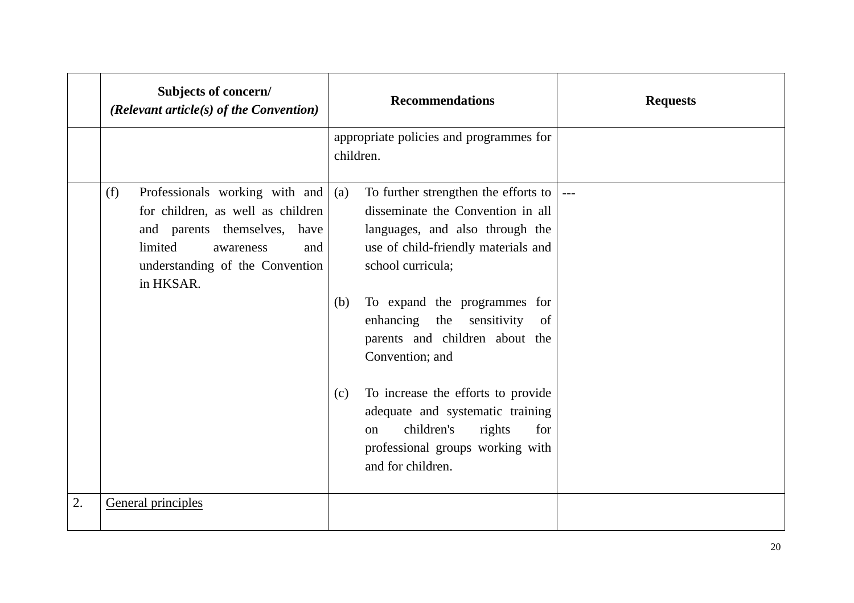|    | Subjects of concern/<br>(Relevant article(s) of the Convention)                                                                                                                           | <b>Recommendations</b>                                                                                                                                                                                                                                                                                                                                                                                                                                                                                   | <b>Requests</b> |
|----|-------------------------------------------------------------------------------------------------------------------------------------------------------------------------------------------|----------------------------------------------------------------------------------------------------------------------------------------------------------------------------------------------------------------------------------------------------------------------------------------------------------------------------------------------------------------------------------------------------------------------------------------------------------------------------------------------------------|-----------------|
|    |                                                                                                                                                                                           | appropriate policies and programmes for<br>children.                                                                                                                                                                                                                                                                                                                                                                                                                                                     |                 |
|    | Professionals working with and<br>(f)<br>for children, as well as children<br>and parents themselves, have<br>limited<br>and<br>awareness<br>understanding of the Convention<br>in HKSAR. | To further strengthen the efforts to $\vert$<br>(a)<br>disseminate the Convention in all<br>languages, and also through the<br>use of child-friendly materials and<br>school curricula;<br>To expand the programmes for<br>(b)<br>enhancing the<br>sensitivity<br>of<br>parents and children about the<br>Convention; and<br>To increase the efforts to provide<br>(c)<br>adequate and systematic training<br>children's<br>rights<br>for<br>on<br>professional groups working with<br>and for children. |                 |
| 2. | General principles                                                                                                                                                                        |                                                                                                                                                                                                                                                                                                                                                                                                                                                                                                          |                 |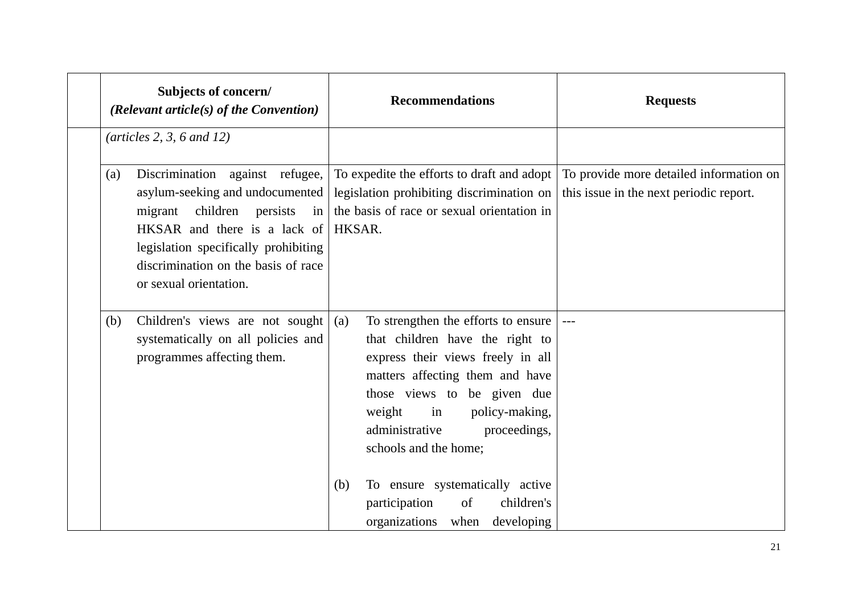| Subjects of concern/<br>(Relevant article(s) of the Convention)                                                                                                                                                                                       | <b>Recommendations</b>                                                                                                                                                                                                                                                                                                                                           | <b>Requests</b>                                                                    |
|-------------------------------------------------------------------------------------------------------------------------------------------------------------------------------------------------------------------------------------------------------|------------------------------------------------------------------------------------------------------------------------------------------------------------------------------------------------------------------------------------------------------------------------------------------------------------------------------------------------------------------|------------------------------------------------------------------------------------|
| $(\text{articles 2, 3, 6 and 12})$                                                                                                                                                                                                                    |                                                                                                                                                                                                                                                                                                                                                                  |                                                                                    |
| Discrimination against refugee,<br>(a)<br>asylum-seeking and undocumented<br>migrant children persists<br>in<br>HKSAR and there is a lack of<br>legislation specifically prohibiting<br>discrimination on the basis of race<br>or sexual orientation. | To expedite the efforts to draft and adopt<br>legislation prohibiting discrimination on<br>the basis of race or sexual orientation in<br>HKSAR.                                                                                                                                                                                                                  | To provide more detailed information on<br>this issue in the next periodic report. |
| Children's views are not sought<br>(b)<br>systematically on all policies and<br>programmes affecting them.                                                                                                                                            | To strengthen the efforts to ensure<br>(a)<br>that children have the right to<br>express their views freely in all<br>matters affecting them and have<br>those views to be given due<br>weight<br>policy-making,<br>in<br>administrative<br>proceedings,<br>schools and the home;<br>To ensure systematically active<br>(b)<br>of<br>children's<br>participation | $---$                                                                              |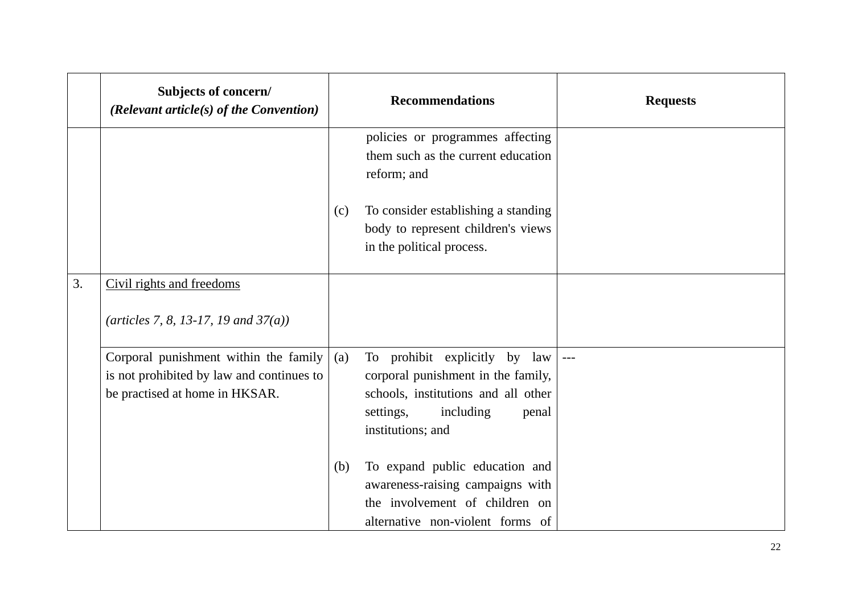|    | Subjects of concern/<br>(Relevant article(s) of the Convention)                                                      |     | <b>Recommendations</b>                                                                                                                                                  | <b>Requests</b> |
|----|----------------------------------------------------------------------------------------------------------------------|-----|-------------------------------------------------------------------------------------------------------------------------------------------------------------------------|-----------------|
|    |                                                                                                                      |     | policies or programmes affecting<br>them such as the current education<br>reform; and                                                                                   |                 |
|    |                                                                                                                      | (c) | To consider establishing a standing<br>body to represent children's views<br>in the political process.                                                                  |                 |
| 3. | Civil rights and freedoms                                                                                            |     |                                                                                                                                                                         |                 |
|    | (articles 7, 8, 13-17, 19 and $37(a)$ )                                                                              |     |                                                                                                                                                                         |                 |
|    | Corporal punishment within the family<br>is not prohibited by law and continues to<br>be practised at home in HKSAR. | (a) | To prohibit explicitly by law  ---<br>corporal punishment in the family,<br>schools, institutions and all other<br>including<br>settings,<br>penal<br>institutions; and |                 |
|    |                                                                                                                      | (b) | To expand public education and<br>awareness-raising campaigns with<br>the involvement of children on<br>alternative non-violent forms of                                |                 |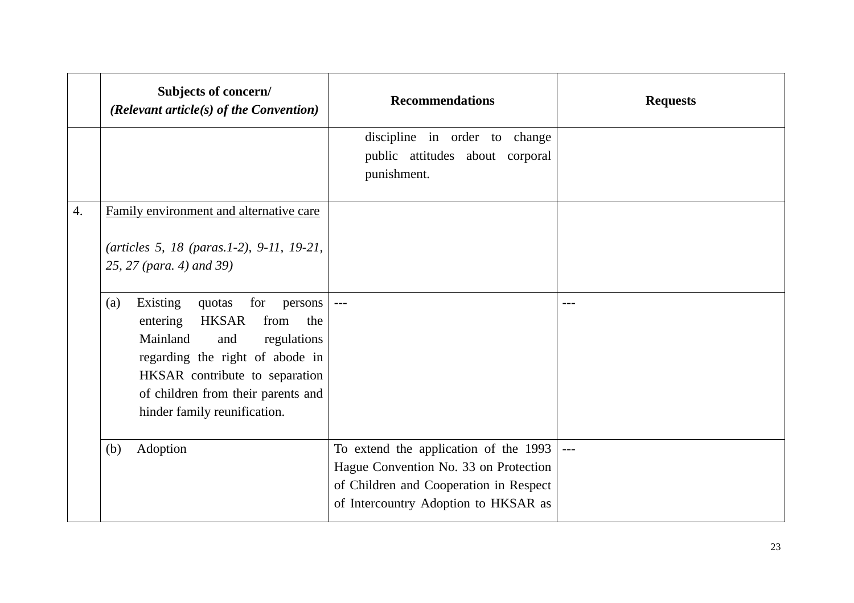|    | Subjects of concern/<br>(Relevant article(s) of the Convention)                                                                                                                                                                                                     | <b>Recommendations</b>                                                                                                                                           | <b>Requests</b> |
|----|---------------------------------------------------------------------------------------------------------------------------------------------------------------------------------------------------------------------------------------------------------------------|------------------------------------------------------------------------------------------------------------------------------------------------------------------|-----------------|
|    |                                                                                                                                                                                                                                                                     | discipline in order to change<br>public attitudes about corporal<br>punishment.                                                                                  |                 |
| 4. | Family environment and alternative care<br>(articles 5, 18 (paras.1-2), 9-11, 19-21,<br>25, 27 (para. 4) and 39)                                                                                                                                                    |                                                                                                                                                                  |                 |
|    | Existing<br>for<br>(a)<br>quotas<br>persons<br><b>HKSAR</b><br>from<br>the<br>entering<br>Mainland<br>and<br>regulations<br>regarding the right of abode in<br>HKSAR contribute to separation<br>of children from their parents and<br>hinder family reunification. | $--$                                                                                                                                                             | ---             |
|    | Adoption<br>(b)                                                                                                                                                                                                                                                     | To extend the application of the 1993<br>Hague Convention No. 33 on Protection<br>of Children and Cooperation in Respect<br>of Intercountry Adoption to HKSAR as |                 |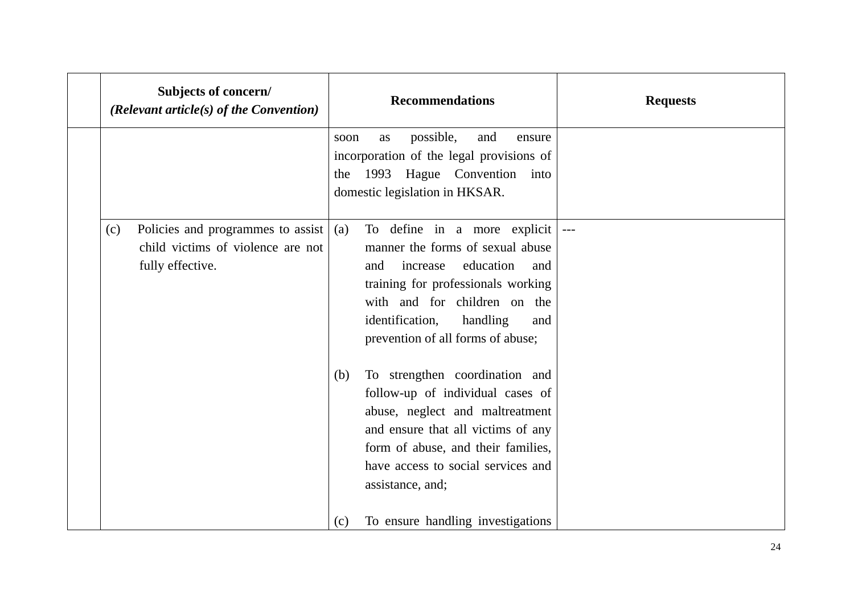|     | Subjects of concern/<br>(Relevant article(s) of the Convention)                            | <b>Recommendations</b>                                                                                                                                                                                                                                                                         | <b>Requests</b> |
|-----|--------------------------------------------------------------------------------------------|------------------------------------------------------------------------------------------------------------------------------------------------------------------------------------------------------------------------------------------------------------------------------------------------|-----------------|
|     |                                                                                            | possible,<br>and<br>as<br>ensure<br>soon<br>incorporation of the legal provisions of<br>the 1993 Hague Convention into<br>domestic legislation in HKSAR.                                                                                                                                       |                 |
| (c) | Policies and programmes to assist<br>child victims of violence are not<br>fully effective. | To define in a more explicit<br>(a)<br>manner the forms of sexual abuse<br>education<br>increase<br>and<br>and<br>training for professionals working<br>with and for children on the<br>identification,<br>handling<br>and<br>prevention of all forms of abuse;                                |                 |
|     |                                                                                            | To strengthen coordination and<br>(b)<br>follow-up of individual cases of<br>abuse, neglect and maltreatment<br>and ensure that all victims of any<br>form of abuse, and their families,<br>have access to social services and<br>assistance, and;<br>To ensure handling investigations<br>(c) |                 |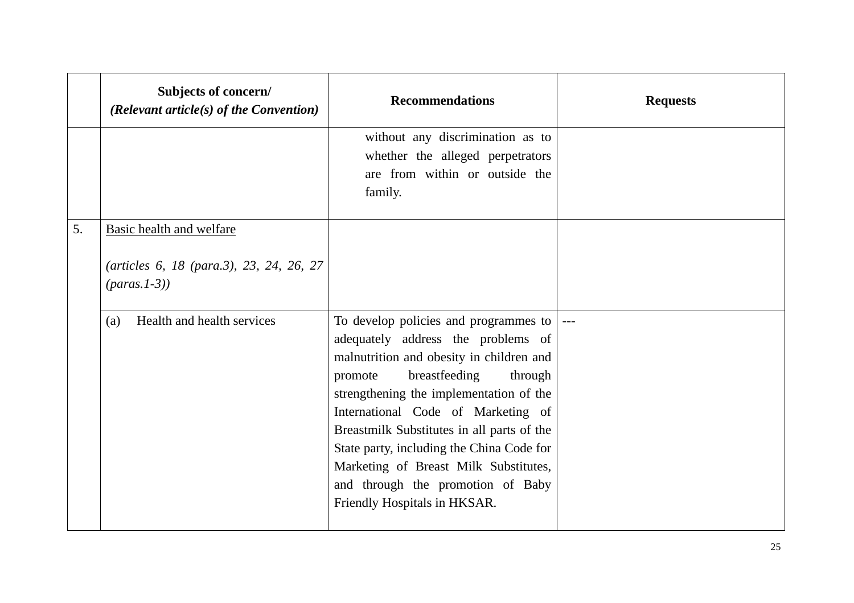|    | Subjects of concern/<br>(Relevant article(s) of the Convention)                                  | <b>Recommendations</b>                                                                                                                                                                                                                                                                                                                                                                                                                                               | <b>Requests</b> |
|----|--------------------------------------------------------------------------------------------------|----------------------------------------------------------------------------------------------------------------------------------------------------------------------------------------------------------------------------------------------------------------------------------------------------------------------------------------------------------------------------------------------------------------------------------------------------------------------|-----------------|
|    |                                                                                                  | without any discrimination as to<br>whether the alleged perpetrators<br>are from within or outside the<br>family.                                                                                                                                                                                                                                                                                                                                                    |                 |
| 5. | Basic health and welfare<br>(articles 6, 18 (para.3), 23, 24, 26, 27<br>$(\text{params. } 1-3))$ |                                                                                                                                                                                                                                                                                                                                                                                                                                                                      |                 |
|    | Health and health services<br>(a)                                                                | To develop policies and programmes to $\vert$ ---<br>adequately address the problems of<br>malnutrition and obesity in children and<br>breastfeeding<br>through<br>promote<br>strengthening the implementation of the<br>International Code of Marketing of<br>Breastmilk Substitutes in all parts of the<br>State party, including the China Code for<br>Marketing of Breast Milk Substitutes,<br>and through the promotion of Baby<br>Friendly Hospitals in HKSAR. |                 |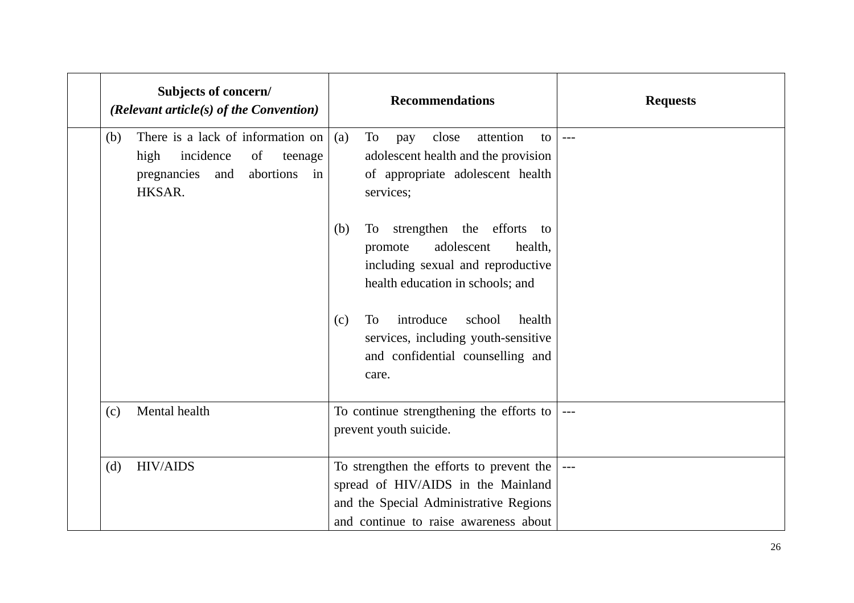| Subjects of concern/<br>(Relevant article(s) of the Convention)                                                                | <b>Recommendations</b>                                                                                                                                                    | <b>Requests</b> |
|--------------------------------------------------------------------------------------------------------------------------------|---------------------------------------------------------------------------------------------------------------------------------------------------------------------------|-----------------|
| There is a lack of information on<br>(b)<br>incidence<br>high<br>of<br>teenage<br>abortions<br>pregnancies and<br>in<br>HKSAR. | (a)<br>To<br>attention<br>close<br>pay<br>to<br>adolescent health and the provision<br>of appropriate adolescent health<br>services;                                      | $---$           |
|                                                                                                                                | strengthen the efforts<br>(b)<br>To<br>to<br>adolescent<br>health,<br>promote<br>including sexual and reproductive<br>health education in schools; and                    |                 |
|                                                                                                                                | introduce<br><b>To</b><br>school<br>health<br>(c)<br>services, including youth-sensitive<br>and confidential counselling and<br>care.                                     |                 |
| Mental health<br>(c)                                                                                                           | To continue strengthening the efforts to<br>prevent youth suicide.                                                                                                        |                 |
| <b>HIV/AIDS</b><br>(d)                                                                                                         | To strengthen the efforts to prevent the $\vert$<br>spread of HIV/AIDS in the Mainland<br>and the Special Administrative Regions<br>and continue to raise awareness about | $  -$           |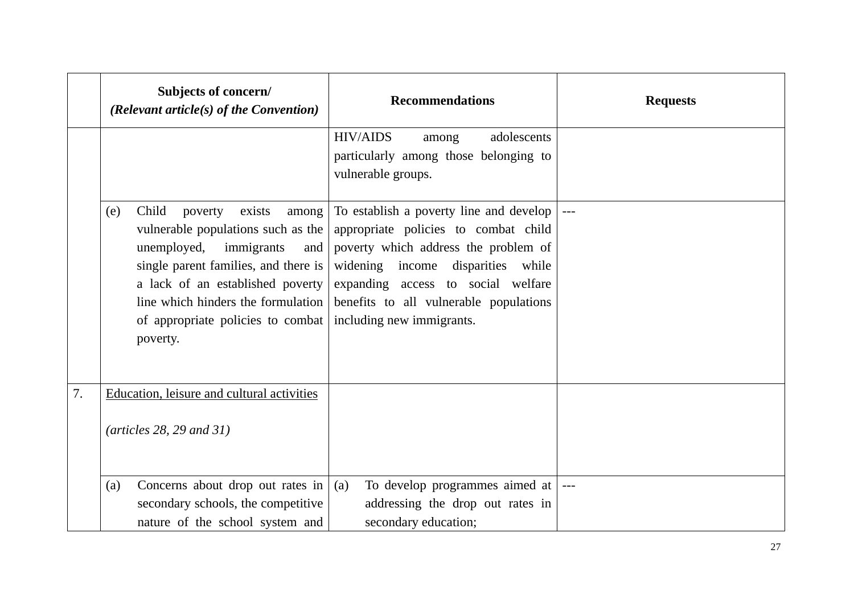|    | Subjects of concern/<br>(Relevant article(s) of the Convention)                                                                                                                                                                                                                         | <b>Recommendations</b>                                                                                                                                                                                                                                                    | <b>Requests</b> |
|----|-----------------------------------------------------------------------------------------------------------------------------------------------------------------------------------------------------------------------------------------------------------------------------------------|---------------------------------------------------------------------------------------------------------------------------------------------------------------------------------------------------------------------------------------------------------------------------|-----------------|
|    |                                                                                                                                                                                                                                                                                         | <b>HIV/AIDS</b><br>adolescents<br>among<br>particularly among those belonging to<br>vulnerable groups.                                                                                                                                                                    |                 |
|    | Child<br>(e)<br>poverty<br>exists<br>among<br>vulnerable populations such as the<br>unemployed,<br>immigrants<br>and<br>single parent families, and there is<br>a lack of an established poverty<br>line which hinders the formulation<br>of appropriate policies to combat<br>poverty. | To establish a poverty line and develop<br>appropriate policies to combat child<br>poverty which address the problem of<br>widening income disparities while<br>expanding access to social welfare<br>benefits to all vulnerable populations<br>including new immigrants. |                 |
| 7. | Education, leisure and cultural activities<br>$(\text{articles } 28, 29 \text{ and } 31)$                                                                                                                                                                                               |                                                                                                                                                                                                                                                                           |                 |
|    | Concerns about drop out rates in<br>(a)<br>secondary schools, the competitive<br>nature of the school system and                                                                                                                                                                        | To develop programmes aimed at  <br>(a)<br>addressing the drop out rates in<br>secondary education;                                                                                                                                                                       | $---$           |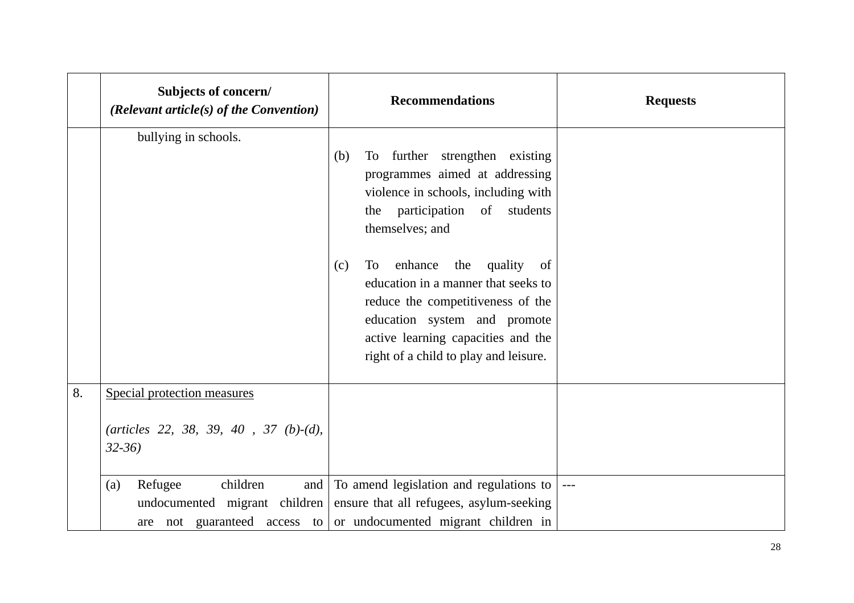|    | Subjects of concern/<br>(Relevant article(s) of the Convention)                   | <b>Recommendations</b>                                                                                                                                                                                                                  | <b>Requests</b> |
|----|-----------------------------------------------------------------------------------|-----------------------------------------------------------------------------------------------------------------------------------------------------------------------------------------------------------------------------------------|-----------------|
|    | bullying in schools.                                                              | To further strengthen existing<br>(b)<br>programmes aimed at addressing<br>violence in schools, including with<br>the participation of students<br>themselves; and                                                                      |                 |
|    |                                                                                   | enhance<br>quality<br>To<br>the<br>(c)<br>of<br>education in a manner that seeks to<br>reduce the competitiveness of the<br>education system and promote<br>active learning capacities and the<br>right of a child to play and leisure. |                 |
| 8. | Special protection measures<br>(articles 22, 38, 39, 40, 37 (b)-(d),<br>$32 - 36$ |                                                                                                                                                                                                                                         |                 |
|    | Refugee<br>children<br>and<br>(a)<br>undocumented migrant children                | To amend legislation and regulations to<br>ensure that all refugees, asylum-seeking<br>are not guaranteed access to or undocumented migrant children in                                                                                 | $---$           |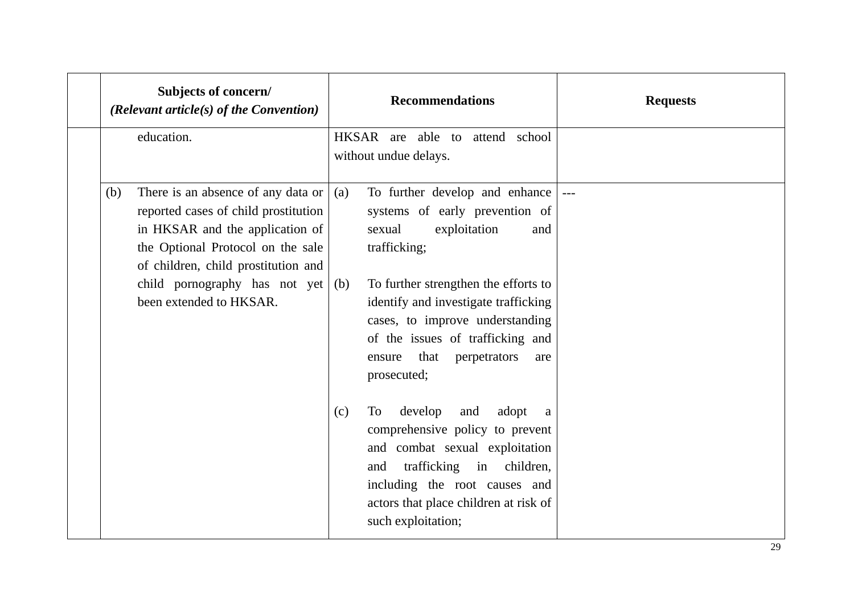| Subjects of concern/<br>(Relevant article(s) of the Convention) |                                                                                                                                                                                                                            |            | <b>Recommendations</b>                                                                                                                                                                                                                               | <b>Requests</b> |
|-----------------------------------------------------------------|----------------------------------------------------------------------------------------------------------------------------------------------------------------------------------------------------------------------------|------------|------------------------------------------------------------------------------------------------------------------------------------------------------------------------------------------------------------------------------------------------------|-----------------|
|                                                                 | education.                                                                                                                                                                                                                 |            | HKSAR are able to attend school<br>without undue delays.                                                                                                                                                                                             |                 |
| (b)                                                             | There is an absence of any data or<br>reported cases of child prostitution<br>in HKSAR and the application of<br>the Optional Protocol on the sale<br>of children, child prostitution and<br>child pornography has not yet | (a)<br>(b) | To further develop and enhance<br>systems of early prevention of<br>exploitation<br>sexual<br>and<br>trafficking;<br>To further strengthen the efforts to                                                                                            |                 |
|                                                                 | been extended to HKSAR.                                                                                                                                                                                                    |            | identify and investigate trafficking<br>cases, to improve understanding<br>of the issues of trafficking and<br>that<br>perpetrators<br>ensure<br>are<br>prosecuted;                                                                                  |                 |
|                                                                 |                                                                                                                                                                                                                            | (c)        | develop<br>To<br>and<br>adopt<br>$\mathbf a$<br>comprehensive policy to prevent<br>and combat sexual exploitation<br>trafficking in children,<br>and<br>including the root causes and<br>actors that place children at risk of<br>such exploitation; |                 |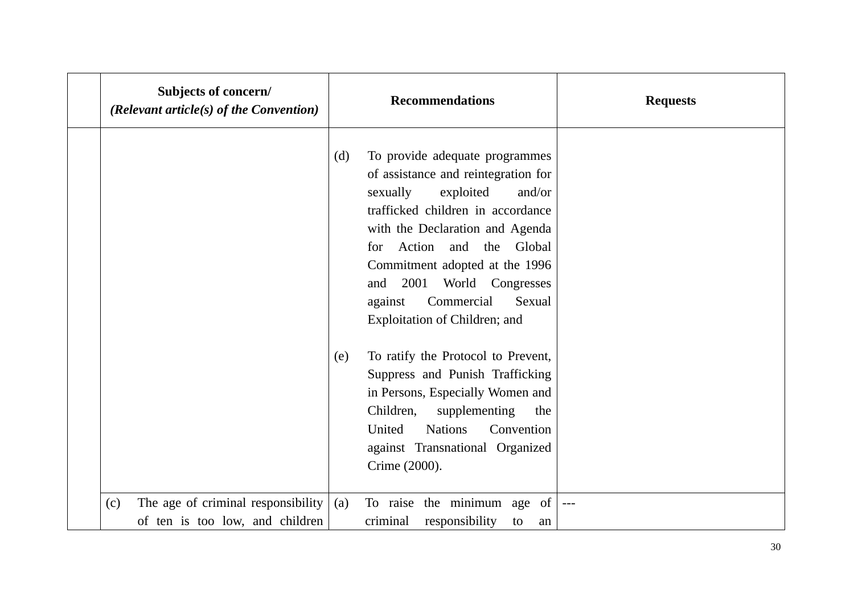| Subjects of concern/<br>(Relevant article(s) of the Convention)              |     | <b>Recommendations</b>                                                                                                                                                                                                                                                                                                                                          | <b>Requests</b> |
|------------------------------------------------------------------------------|-----|-----------------------------------------------------------------------------------------------------------------------------------------------------------------------------------------------------------------------------------------------------------------------------------------------------------------------------------------------------------------|-----------------|
|                                                                              | (d) | To provide adequate programmes<br>of assistance and reintegration for<br>sexually<br>exploited<br>and/or<br>trafficked children in accordance<br>with the Declaration and Agenda<br>Action and<br>the<br>Global<br>for<br>Commitment adopted at the 1996<br>2001<br>World Congresses<br>and<br>Commercial<br>against<br>Sexual<br>Exploitation of Children; and |                 |
|                                                                              | (e) | To ratify the Protocol to Prevent,<br>Suppress and Punish Trafficking<br>in Persons, Especially Women and<br>Children,<br>supplementing<br>the<br>United<br><b>Nations</b><br>Convention<br>against Transnational Organized<br>Crime (2000).                                                                                                                    |                 |
| The age of criminal responsibility<br>(c)<br>of ten is too low, and children | (a) | To raise the minimum age of<br>criminal<br>responsibility<br>to<br>an                                                                                                                                                                                                                                                                                           | $---$           |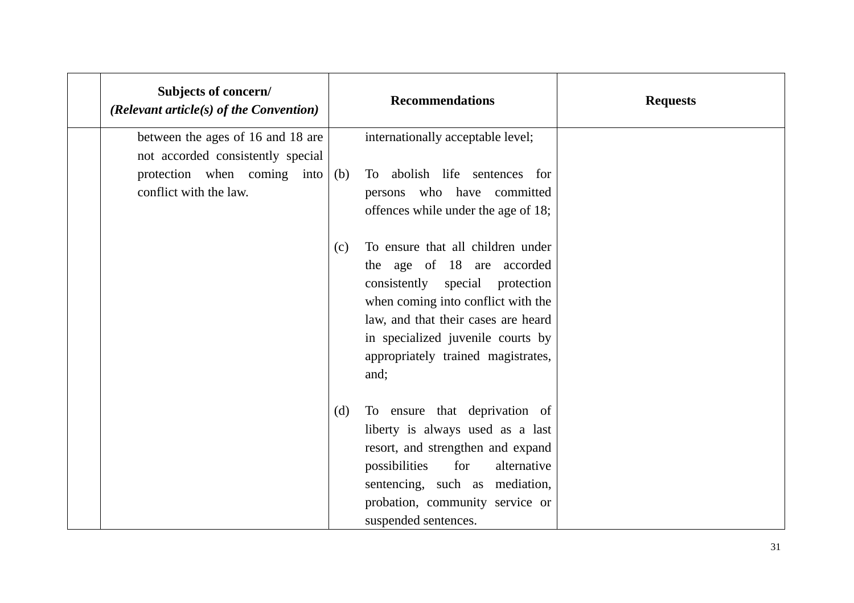| Subjects of concern/<br>(Relevant article(s) of the Convention)        |     | <b>Recommendations</b>                                                                                                                                                                                                                                             | <b>Requests</b> |
|------------------------------------------------------------------------|-----|--------------------------------------------------------------------------------------------------------------------------------------------------------------------------------------------------------------------------------------------------------------------|-----------------|
| between the ages of 16 and 18 are<br>not accorded consistently special |     | internationally acceptable level;                                                                                                                                                                                                                                  |                 |
| protection when coming into<br>conflict with the law.                  | (b) | To abolish life sentences for<br>persons who have committed<br>offences while under the age of 18;                                                                                                                                                                 |                 |
|                                                                        | (c) | To ensure that all children under<br>the age of 18 are accorded<br>consistently special protection<br>when coming into conflict with the<br>law, and that their cases are heard<br>in specialized juvenile courts by<br>appropriately trained magistrates,<br>and; |                 |
|                                                                        | (d) | To ensure that deprivation of<br>liberty is always used as a last<br>resort, and strengthen and expand<br>for<br>possibilities<br>alternative<br>sentencing, such as mediation,<br>probation, community service or<br>suspended sentences.                         |                 |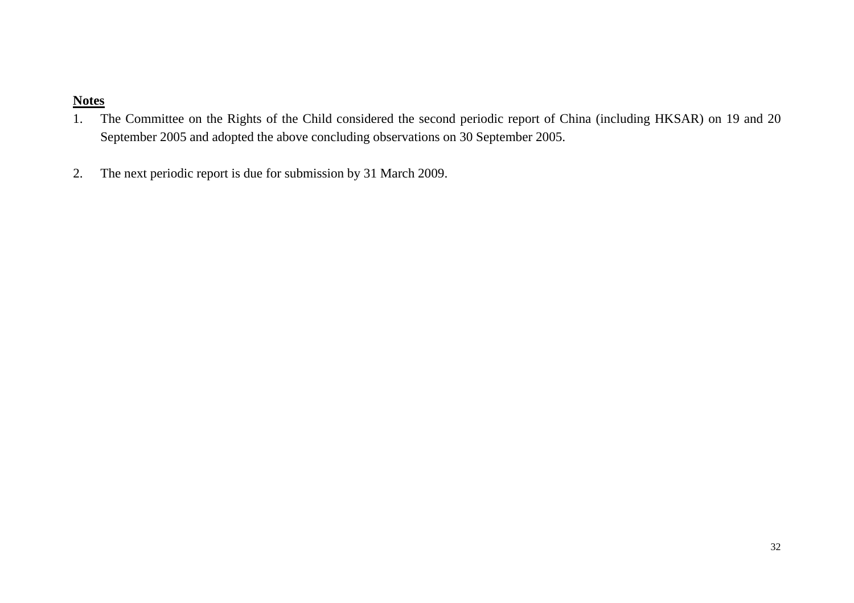- 1. The Committee on the Rights of the Child considered the second periodic report of China (including HKSAR) on 19 and 20 September 2005 and adopted the above concluding observations on 30 September 2005.
- 2.The next periodic report is due for submission by 31 March 2009.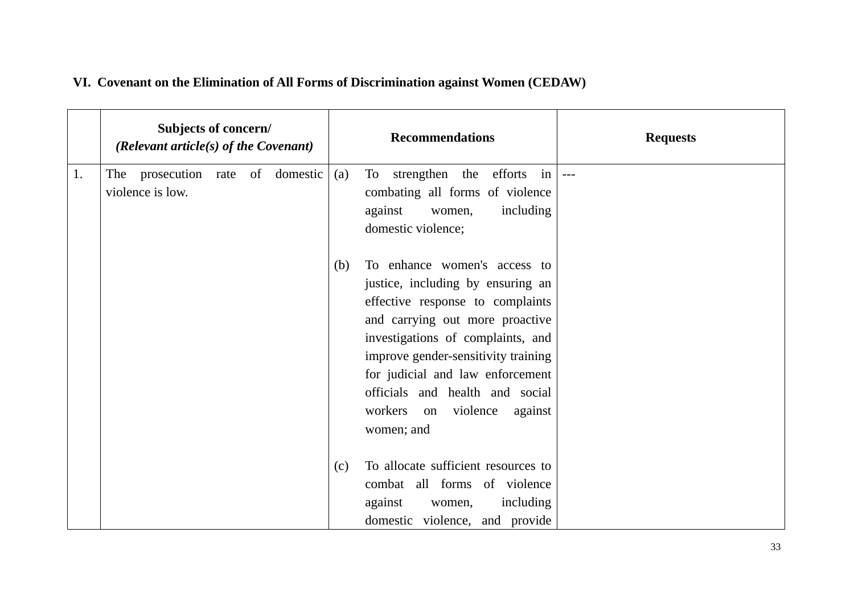|    | Subjects of concern/<br>(Relevant article(s) of the Covenant) |  |  |     | <b>Recommendations</b>                                                                                                                                                                                                                                                                                                                            | <b>Requests</b> |
|----|---------------------------------------------------------------|--|--|-----|---------------------------------------------------------------------------------------------------------------------------------------------------------------------------------------------------------------------------------------------------------------------------------------------------------------------------------------------------|-----------------|
| 1. | The prosecution rate of domestic<br>violence is low.          |  |  | (a) | To strengthen the efforts<br>in<br>combating all forms of violence<br>including<br>against<br>women,<br>domestic violence;                                                                                                                                                                                                                        | $---$           |
|    |                                                               |  |  | (b) | To enhance women's access to<br>justice, including by ensuring an<br>effective response to complaints<br>and carrying out more proactive<br>investigations of complaints, and<br>improve gender-sensitivity training<br>for judicial and law enforcement<br>officials and health and social<br>workers<br>violence<br>against<br>on<br>women; and |                 |
|    |                                                               |  |  | (c) | To allocate sufficient resources to<br>combat all forms of violence<br>including<br>against<br>women,<br>domestic violence, and provide                                                                                                                                                                                                           |                 |

# **VI. Covenant on the Elimination of All Forms of Discrimination against Women (CEDAW)**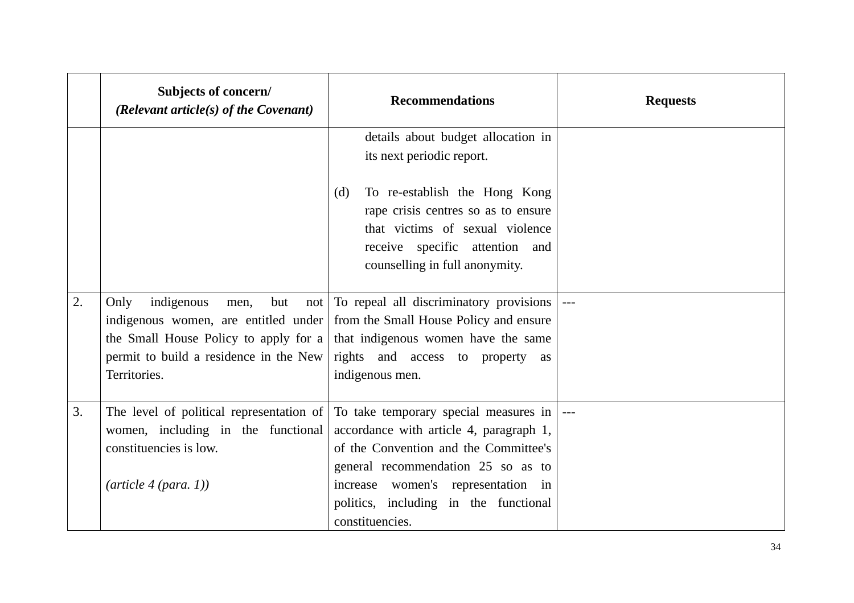|    | Subjects of concern/<br>(Relevant article $(s)$ of the Covenant)                                                                                                                    | <b>Recommendations</b>                                                                                                                                                                                                                                                        | <b>Requests</b> |
|----|-------------------------------------------------------------------------------------------------------------------------------------------------------------------------------------|-------------------------------------------------------------------------------------------------------------------------------------------------------------------------------------------------------------------------------------------------------------------------------|-----------------|
|    |                                                                                                                                                                                     | details about budget allocation in<br>its next periodic report.                                                                                                                                                                                                               |                 |
|    |                                                                                                                                                                                     | To re-establish the Hong Kong<br>(d)<br>rape crisis centres so as to ensure<br>that victims of sexual violence<br>receive specific attention and<br>counselling in full anonymity.                                                                                            |                 |
| 2. | Only<br>indigenous<br>but<br>men,<br>not<br>indigenous women, are entitled under<br>the Small House Policy to apply for a<br>permit to build a residence in the New<br>Territories. | To repeal all discriminatory provisions<br>from the Small House Policy and ensure<br>that indigenous women have the same<br>rights and access to property<br>as<br>indigenous men.                                                                                            |                 |
| 3. | The level of political representation of<br>women, including in the functional<br>constituencies is low.<br>$(\textit{article } 4 \text{ (para. } 1))$                              | To take temporary special measures in $\vert$ ---<br>accordance with article 4, paragraph 1,<br>of the Convention and the Committee's<br>general recommendation 25 so as to<br>increase women's representation in<br>politics, including in the functional<br>constituencies. |                 |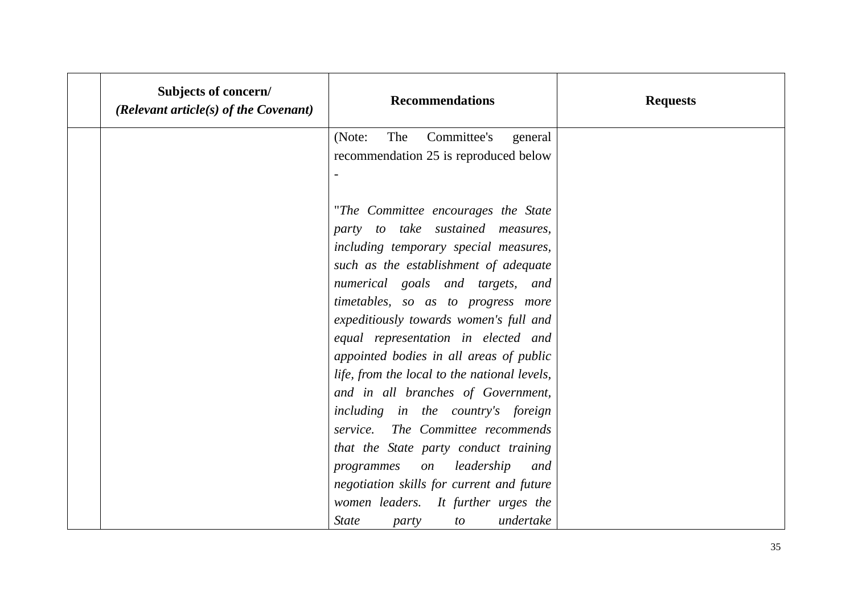| Subjects of concern/<br>(Relevant article $(s)$ of the Covenant) | <b>Recommendations</b>                                                                                                                   | <b>Requests</b> |
|------------------------------------------------------------------|------------------------------------------------------------------------------------------------------------------------------------------|-----------------|
|                                                                  | The<br>Committee's<br>(Note:<br>general<br>recommendation 25 is reproduced below                                                         |                 |
|                                                                  | "The Committee encourages the State<br>party to take sustained measures,                                                                 |                 |
|                                                                  | including temporary special measures,<br>such as the establishment of adequate                                                           |                 |
|                                                                  | numerical goals and targets, and<br>timetables, so as to progress more<br>expeditiously towards women's full and                         |                 |
|                                                                  | equal representation in elected and<br>appointed bodies in all areas of public<br>life, from the local to the national levels,           |                 |
|                                                                  | and in all branches of Government,<br>including in the country's foreign                                                                 |                 |
|                                                                  | service. The Committee recommends<br>that the State party conduct training<br>programmes on leadership<br>and                            |                 |
|                                                                  | negotiation skills for current and future<br>women leaders. It further urges the<br>undertake<br><i>State</i><br>$\mathfrak{c}$<br>party |                 |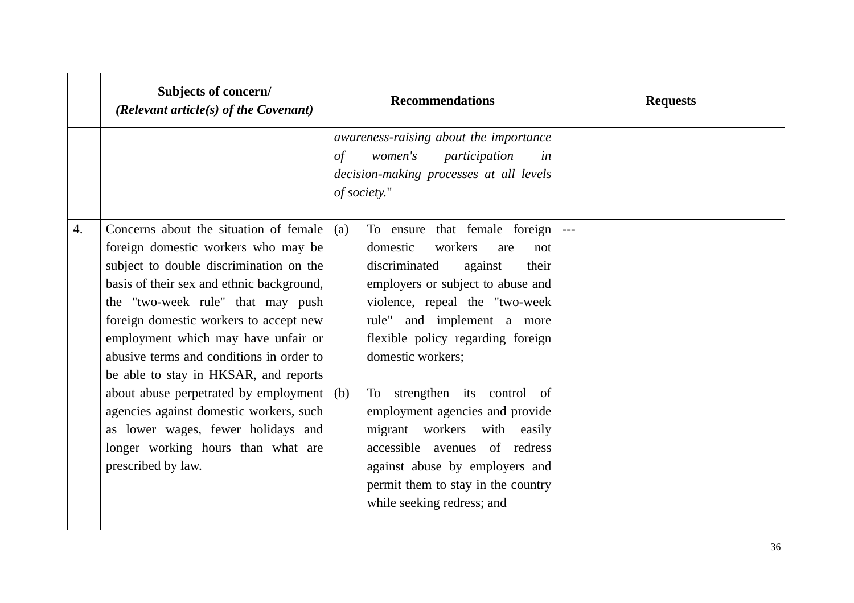|    | Subjects of concern/<br>(Relevant article(s) of the Covenant)                                                                                                                                                                                                                                                                                                                                                                                                                                                                                                                      |            | <b>Recommendations</b>                                                                                                                                                                                                                                                                                                                                                                                                                                                            | <b>Requests</b> |
|----|------------------------------------------------------------------------------------------------------------------------------------------------------------------------------------------------------------------------------------------------------------------------------------------------------------------------------------------------------------------------------------------------------------------------------------------------------------------------------------------------------------------------------------------------------------------------------------|------------|-----------------------------------------------------------------------------------------------------------------------------------------------------------------------------------------------------------------------------------------------------------------------------------------------------------------------------------------------------------------------------------------------------------------------------------------------------------------------------------|-----------------|
|    |                                                                                                                                                                                                                                                                                                                                                                                                                                                                                                                                                                                    | $\sigma f$ | awareness-raising about the importance<br>women's<br>participation<br>in<br>decision-making processes at all levels<br>of society."                                                                                                                                                                                                                                                                                                                                               |                 |
| 4. | Concerns about the situation of female<br>foreign domestic workers who may be<br>subject to double discrimination on the<br>basis of their sex and ethnic background,<br>the "two-week rule" that may push<br>foreign domestic workers to accept new<br>employment which may have unfair or<br>abusive terms and conditions in order to<br>be able to stay in HKSAR, and reports<br>about abuse perpetrated by employment $\vert$ (b)<br>agencies against domestic workers, such<br>as lower wages, fewer holidays and<br>longer working hours than what are<br>prescribed by law. | (a)        | To ensure that female foreign<br>domestic<br>workers<br>are<br>not<br>discriminated<br>against<br>their<br>employers or subject to abuse and<br>violence, repeal the "two-week<br>rule" and implement a more<br>flexible policy regarding foreign<br>domestic workers;<br>To strengthen its control of<br>employment agencies and provide<br>migrant workers with easily<br>accessible avenues of redress<br>against abuse by employers and<br>permit them to stay in the country |                 |
|    |                                                                                                                                                                                                                                                                                                                                                                                                                                                                                                                                                                                    |            | while seeking redress; and                                                                                                                                                                                                                                                                                                                                                                                                                                                        |                 |